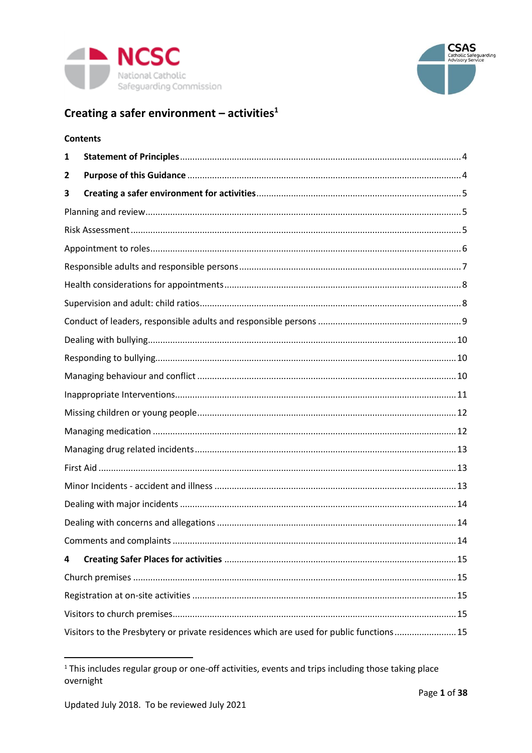



# Creating a safer environment - activities $1$

|   | <b>Contents</b>                                                                         |  |  |  |  |
|---|-----------------------------------------------------------------------------------------|--|--|--|--|
| 1 |                                                                                         |  |  |  |  |
| 2 |                                                                                         |  |  |  |  |
| 3 |                                                                                         |  |  |  |  |
|   |                                                                                         |  |  |  |  |
|   |                                                                                         |  |  |  |  |
|   |                                                                                         |  |  |  |  |
|   |                                                                                         |  |  |  |  |
|   |                                                                                         |  |  |  |  |
|   |                                                                                         |  |  |  |  |
|   |                                                                                         |  |  |  |  |
|   |                                                                                         |  |  |  |  |
|   |                                                                                         |  |  |  |  |
|   |                                                                                         |  |  |  |  |
|   |                                                                                         |  |  |  |  |
|   |                                                                                         |  |  |  |  |
|   |                                                                                         |  |  |  |  |
|   |                                                                                         |  |  |  |  |
|   |                                                                                         |  |  |  |  |
|   |                                                                                         |  |  |  |  |
|   |                                                                                         |  |  |  |  |
|   |                                                                                         |  |  |  |  |
|   |                                                                                         |  |  |  |  |
| 4 |                                                                                         |  |  |  |  |
|   |                                                                                         |  |  |  |  |
|   |                                                                                         |  |  |  |  |
|   |                                                                                         |  |  |  |  |
|   | Visitors to the Presbytery or private residences which are used for public functions 15 |  |  |  |  |

<sup>&</sup>lt;sup>1</sup> This includes regular group or one-off activities, events and trips including those taking place overnight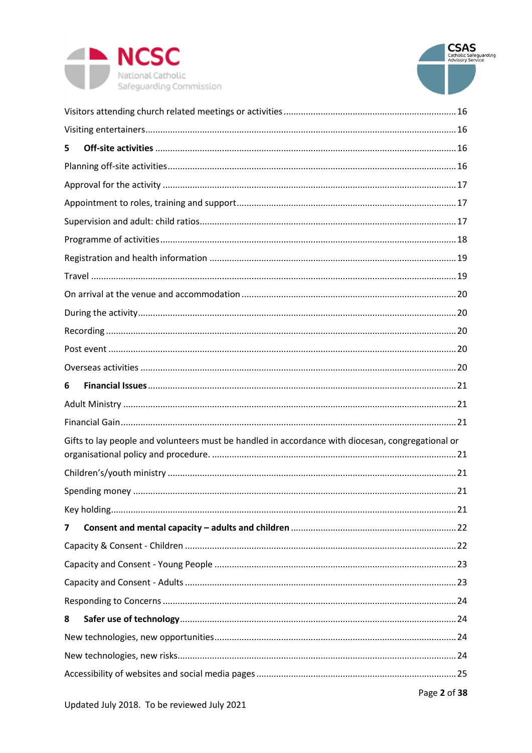



| 5                                                                                                 |  |  |  |
|---------------------------------------------------------------------------------------------------|--|--|--|
|                                                                                                   |  |  |  |
|                                                                                                   |  |  |  |
|                                                                                                   |  |  |  |
|                                                                                                   |  |  |  |
|                                                                                                   |  |  |  |
|                                                                                                   |  |  |  |
|                                                                                                   |  |  |  |
|                                                                                                   |  |  |  |
|                                                                                                   |  |  |  |
|                                                                                                   |  |  |  |
|                                                                                                   |  |  |  |
|                                                                                                   |  |  |  |
| 6                                                                                                 |  |  |  |
|                                                                                                   |  |  |  |
|                                                                                                   |  |  |  |
| Gifts to lay people and volunteers must be handled in accordance with diocesan, congregational or |  |  |  |
|                                                                                                   |  |  |  |
|                                                                                                   |  |  |  |
|                                                                                                   |  |  |  |
|                                                                                                   |  |  |  |
| 7                                                                                                 |  |  |  |
|                                                                                                   |  |  |  |
|                                                                                                   |  |  |  |
|                                                                                                   |  |  |  |
|                                                                                                   |  |  |  |
| 8                                                                                                 |  |  |  |
|                                                                                                   |  |  |  |
|                                                                                                   |  |  |  |
|                                                                                                   |  |  |  |
|                                                                                                   |  |  |  |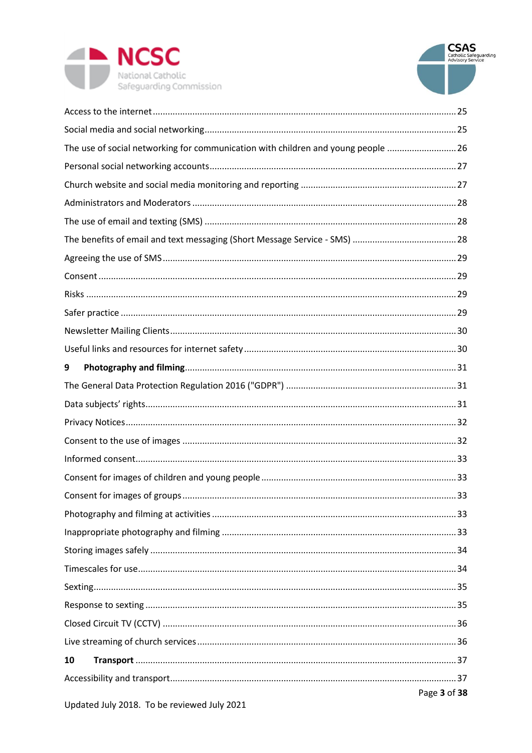



| The use of social networking for communication with children and young people  26 |  |  |  |  |
|-----------------------------------------------------------------------------------|--|--|--|--|
|                                                                                   |  |  |  |  |
|                                                                                   |  |  |  |  |
|                                                                                   |  |  |  |  |
|                                                                                   |  |  |  |  |
|                                                                                   |  |  |  |  |
|                                                                                   |  |  |  |  |
|                                                                                   |  |  |  |  |
|                                                                                   |  |  |  |  |
|                                                                                   |  |  |  |  |
|                                                                                   |  |  |  |  |
|                                                                                   |  |  |  |  |
| 9                                                                                 |  |  |  |  |
|                                                                                   |  |  |  |  |
|                                                                                   |  |  |  |  |
|                                                                                   |  |  |  |  |
|                                                                                   |  |  |  |  |
|                                                                                   |  |  |  |  |
|                                                                                   |  |  |  |  |
|                                                                                   |  |  |  |  |
|                                                                                   |  |  |  |  |
|                                                                                   |  |  |  |  |
|                                                                                   |  |  |  |  |
|                                                                                   |  |  |  |  |
|                                                                                   |  |  |  |  |
|                                                                                   |  |  |  |  |
|                                                                                   |  |  |  |  |
|                                                                                   |  |  |  |  |
| 10                                                                                |  |  |  |  |
|                                                                                   |  |  |  |  |
| Page 3 of 38                                                                      |  |  |  |  |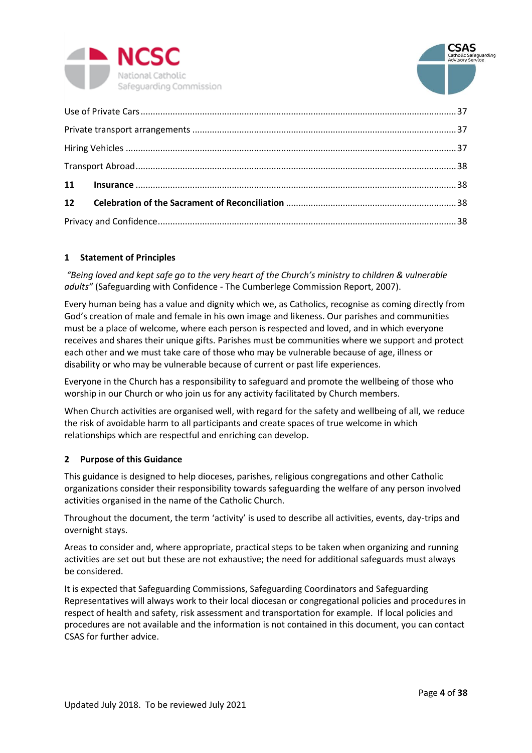



# <span id="page-3-0"></span>**1 Statement of Principles**

*"Being loved and kept safe go to the very heart of the Church's ministry to children & vulnerable adults"* (Safeguarding with Confidence - The Cumberlege Commission Report, 2007).

Every human being has a value and dignity which we, as Catholics, recognise as coming directly from God's creation of male and female in his own image and likeness. Our parishes and communities must be a place of welcome, where each person is respected and loved, and in which everyone receives and shares their unique gifts. Parishes must be communities where we support and protect each other and we must take care of those who may be vulnerable because of age, illness or disability or who may be vulnerable because of current or past life experiences.

Everyone in the Church has a responsibility to safeguard and promote the wellbeing of those who worship in our Church or who join us for any activity facilitated by Church members.

When Church activities are organised well, with regard for the safety and wellbeing of all, we reduce the risk of avoidable harm to all participants and create spaces of true welcome in which relationships which are respectful and enriching can develop.

### <span id="page-3-1"></span>**2 Purpose of this Guidance**

This guidance is designed to help dioceses, parishes, religious congregations and other Catholic organizations consider their responsibility towards safeguarding the welfare of any person involved activities organised in the name of the Catholic Church.

Throughout the document, the term 'activity' is used to describe all activities, events, day-trips and overnight stays.

Areas to consider and, where appropriate, practical steps to be taken when organizing and running activities are set out but these are not exhaustive; the need for additional safeguards must always be considered.

It is expected that Safeguarding Commissions, Safeguarding Coordinators and Safeguarding Representatives will always work to their local diocesan or congregational policies and procedures in respect of health and safety, risk assessment and transportation for example. If local policies and procedures are not available and the information is not contained in this document, you can contact CSAS for further advice.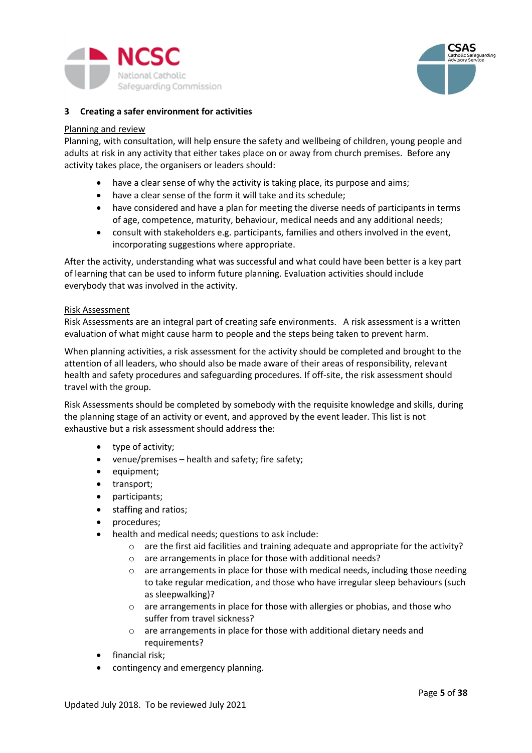



### <span id="page-4-0"></span>**3 Creating a safer environment for activities**

#### <span id="page-4-1"></span>Planning and review

Planning, with consultation, will help ensure the safety and wellbeing of children, young people and adults at risk in any activity that either takes place on or away from church premises. Before any activity takes place, the organisers or leaders should:

- have a clear sense of why the activity is taking place, its purpose and aims;
- have a clear sense of the form it will take and its schedule;
- have considered and have a plan for meeting the diverse needs of participants in terms of age, competence, maturity, behaviour, medical needs and any additional needs;
- consult with stakeholders e.g. participants, families and others involved in the event, incorporating suggestions where appropriate.

After the activity, understanding what was successful and what could have been better is a key part of learning that can be used to inform future planning. Evaluation activities should include everybody that was involved in the activity.

#### <span id="page-4-2"></span>Risk Assessment

Risk Assessments are an integral part of creating safe environments. A risk assessment is a written evaluation of what might cause harm to people and the steps being taken to prevent harm.

When planning activities, a risk assessment for the activity should be completed and brought to the attention of all leaders, who should also be made aware of their areas of responsibility, relevant health and safety procedures and safeguarding procedures. If off-site, the risk assessment should travel with the group.

Risk Assessments should be completed by somebody with the requisite knowledge and skills, during the planning stage of an activity or event, and approved by the event leader. This list is not exhaustive but a risk assessment should address the:

- type of activity;
- venue/premises health and safety; fire safety;
- equipment;
- transport;
- participants;
- staffing and ratios;
- procedures;
- health and medical needs; questions to ask include:
	- $\circ$  are the first aid facilities and training adequate and appropriate for the activity?
	- o are arrangements in place for those with additional needs?
	- $\circ$  are arrangements in place for those with medical needs, including those needing to take regular medication, and those who have irregular sleep behaviours (such as sleepwalking)?
	- o are arrangements in place for those with allergies or phobias, and those who suffer from travel sickness?
	- o are arrangements in place for those with additional dietary needs and requirements?
- financial risk;
- contingency and emergency planning.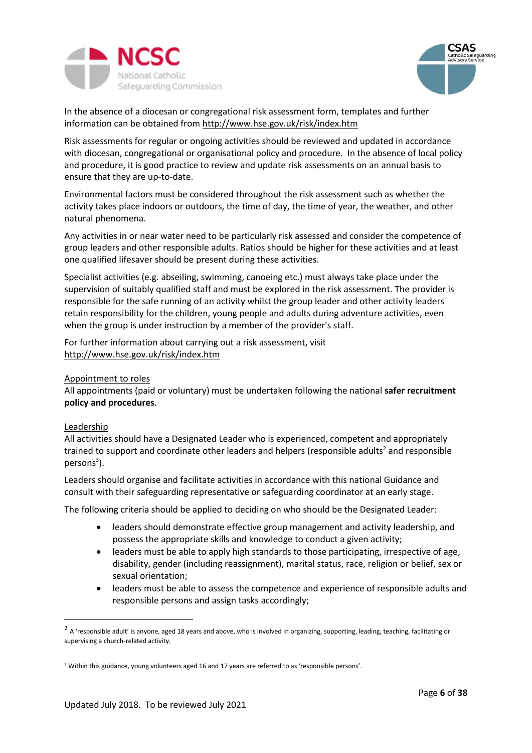



In the absence of a diocesan or congregational risk assessment form, templates and further information can be obtained from<http://www.hse.gov.uk/risk/index.htm>

Risk assessments for regular or ongoing activities should be reviewed and updated in accordance with diocesan, congregational or organisational policy and procedure. In the absence of local policy and procedure, it is good practice to review and update risk assessments on an annual basis to ensure that they are up-to-date.

Environmental factors must be considered throughout the risk assessment such as whether the activity takes place indoors or outdoors, the time of day, the time of year, the weather, and other natural phenomena.

Any activities in or near water need to be particularly risk assessed and consider the competence of group leaders and other responsible adults. Ratios should be higher for these activities and at least one qualified lifesaver should be present during these activities.

Specialist activities (e.g. abseiling, swimming, canoeing etc.) must always take place under the supervision of suitably qualified staff and must be explored in the risk assessment. The provider is responsible for the safe running of an activity whilst the group leader and other activity leaders retain responsibility for the children, young people and adults during adventure activities, even when the group is under instruction by a member of the provider's staff.

For further information about carrying out a risk assessment, visit <http://www.hse.gov.uk/risk/index.htm>

### <span id="page-5-0"></span>Appointment to roles

All appointments (paid or voluntary) must be undertaken following the national **safer recruitment policy and procedures**.

### Leadership

1

All activities should have a Designated Leader who is experienced, competent and appropriately trained to support and coordinate other leaders and helpers (responsible adults<sup>2</sup> and responsible persons<sup>3</sup>).

Leaders should organise and facilitate activities in accordance with this national Guidance and consult with their safeguarding representative or safeguarding coordinator at an early stage.

The following criteria should be applied to deciding on who should be the Designated Leader:

- leaders should demonstrate effective group management and activity leadership, and possess the appropriate skills and knowledge to conduct a given activity;
- leaders must be able to apply high standards to those participating, irrespective of age, disability, gender (including reassignment), marital status, race, religion or belief, sex or sexual orientation;
- leaders must be able to assess the competence and experience of responsible adults and responsible persons and assign tasks accordingly;

 $^2$  A 'responsible adult' is anyone, aged 18 years and above, who is involved in organizing, supporting, leading, teaching, facilitating or supervising a church-related activity.

<sup>3</sup> Within this guidance, young volunteers aged 16 and 17 years are referred to as 'responsible persons'.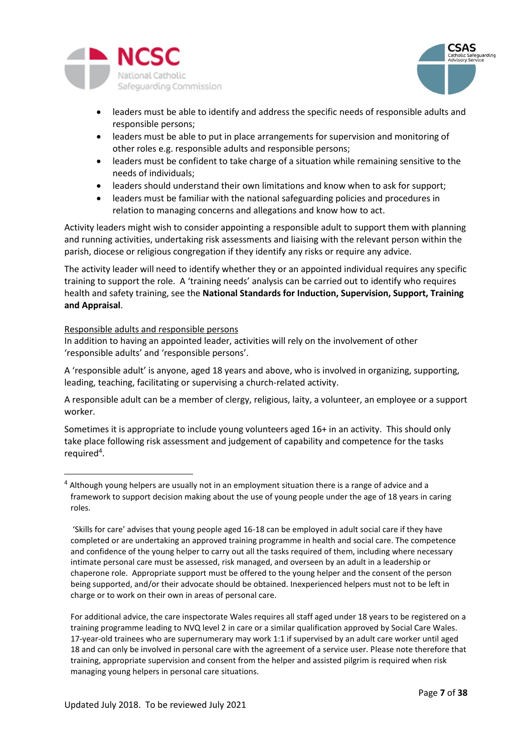



- leaders must be able to identify and address the specific needs of responsible adults and responsible persons;
- leaders must be able to put in place arrangements for supervision and monitoring of other roles e.g. responsible adults and responsible persons;
- leaders must be confident to take charge of a situation while remaining sensitive to the needs of individuals;
- leaders should understand their own limitations and know when to ask for support;
- leaders must be familiar with the national safeguarding policies and procedures in relation to managing concerns and allegations and know how to act.

Activity leaders might wish to consider appointing a responsible adult to support them with planning and running activities, undertaking risk assessments and liaising with the relevant person within the parish, diocese or religious congregation if they identify any risks or require any advice.

The activity leader will need to identify whether they or an appointed individual requires any specific training to support the role. A 'training needs' analysis can be carried out to identify who requires health and safety training, see the **National Standards for Induction, Supervision, Support, Training and Appraisal**.

### <span id="page-6-0"></span>Responsible adults and responsible persons

 $\overline{a}$ 

In addition to having an appointed leader, activities will rely on the involvement of other 'responsible adults' and 'responsible persons'.

A 'responsible adult' is anyone, aged 18 years and above, who is involved in organizing, supporting, leading, teaching, facilitating or supervising a church-related activity.

A responsible adult can be a member of clergy, religious, laity, a volunteer, an employee or a support worker.

Sometimes it is appropriate to include young volunteers aged 16+ in an activity. This should only take place following risk assessment and judgement of capability and competence for the tasks required<sup>4</sup>.

For additional advice, the care inspectorate Wales requires all staff aged under 18 years to be registered on a training programme leading to NVQ level 2 in care or a similar qualification approved by Social Care Wales. 17-year-old trainees who are supernumerary may work 1:1 if supervised by an adult care worker until aged 18 and can only be involved in personal care with the agreement of a service user. Please note therefore that training, appropriate supervision and consent from the helper and assisted pilgrim is required when risk managing young helpers in personal care situations.

<sup>&</sup>lt;sup>4</sup> Although young helpers are usually not in an employment situation there is a range of advice and a framework to support decision making about the use of young people under the age of 18 years in caring roles.

<sup>&#</sup>x27;Skills for care' advises that young people aged 16-18 can be employed in adult social care if they have completed or are undertaking an approved training programme in health and social care. The competence and confidence of the young helper to carry out all the tasks required of them, including where necessary intimate personal care must be assessed, risk managed, and overseen by an adult in a leadership or chaperone role. Appropriate support must be offered to the young helper and the consent of the person being supported, and/or their advocate should be obtained. Inexperienced helpers must not to be left in charge or to work on their own in areas of personal care.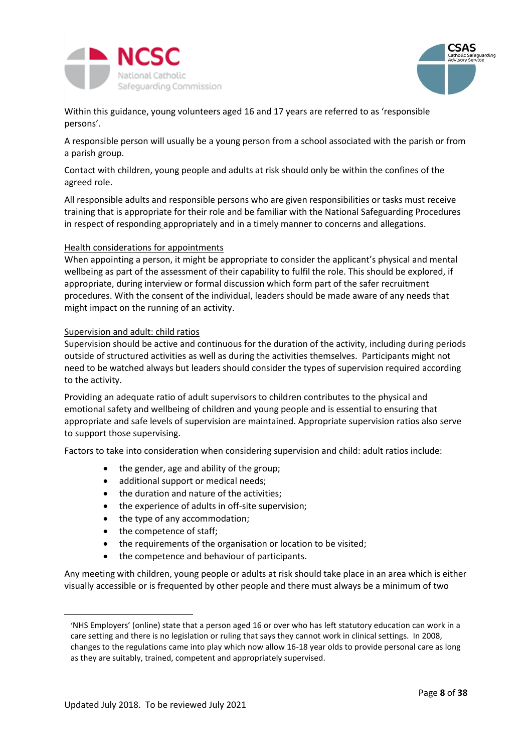



Within this guidance, young volunteers aged 16 and 17 years are referred to as 'responsible persons'.

A responsible person will usually be a young person from a school associated with the parish or from a parish group.

Contact with children, young people and adults at risk should only be within the confines of the agreed role.

All responsible adults and responsible persons who are given responsibilities or tasks must receive training that is appropriate for their role and be familiar with the National Safeguarding Procedures in respect of responding appropriately and in a timely manner to concerns and allegations.

#### <span id="page-7-0"></span>Health considerations for appointments

When appointing a person, it might be appropriate to consider the applicant's physical and mental wellbeing as part of the assessment of their capability to fulfil the role. This should be explored, if appropriate, during interview or formal discussion which form part of the safer recruitment procedures. With the consent of the individual, leaders should be made aware of any needs that might impact on the running of an activity.

#### <span id="page-7-1"></span>Supervision and adult: child ratios

Supervision should be active and continuous for the duration of the activity, including during periods outside of structured activities as well as during the activities themselves. Participants might not need to be watched always but leaders should consider the types of supervision required according to the activity.

Providing an adequate ratio of adult supervisors to children contributes to the physical and emotional safety and wellbeing of children and young people and is essential to ensuring that appropriate and safe levels of supervision are maintained. Appropriate supervision ratios also serve to support those supervising.

Factors to take into consideration when considering supervision and child: adult ratios include:

- the gender, age and ability of the group;
- additional support or medical needs;
- the duration and nature of the activities;
- the experience of adults in off-site supervision;
- the type of any accommodation;
- the competence of staff;
- the requirements of the organisation or location to be visited;
- the competence and behaviour of participants.

Any meeting with children, young people or adults at risk should take place in an area which is either visually accessible or is frequented by other people and there must always be a minimum of two

 $\overline{a}$ 

<sup>&#</sup>x27;NHS Employers' (online) state that a person aged 16 or over who has left statutory education can work in a care setting and there is no legislation or ruling that says they cannot work in clinical settings. In 2008, changes to the regulations came into play which now allow 16-18 year olds to provide personal care as long as they are suitably, trained, competent and appropriately supervised.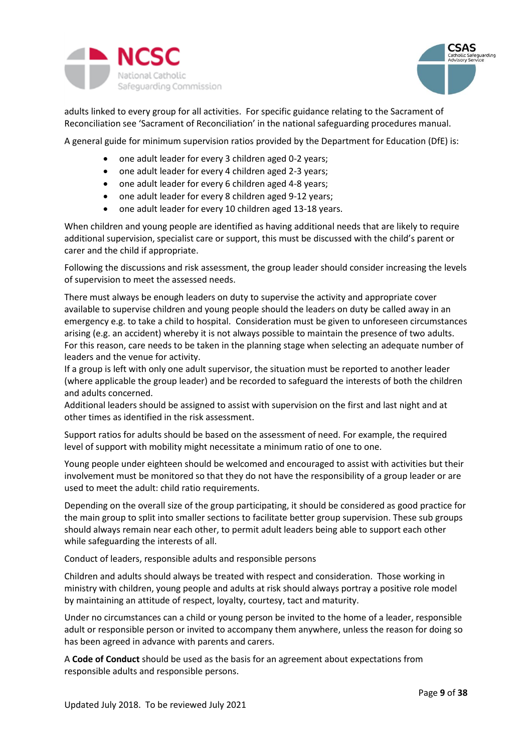



adults linked to every group for all activities. For specific guidance relating to the Sacrament of Reconciliation see 'Sacrament of Reconciliation' in the national safeguarding procedures manual.

A general guide for minimum supervision ratios provided by the Department for Education (DfE) is:

- one adult leader for every 3 children aged 0-2 years;
- one adult leader for every 4 children aged 2-3 years;
- one adult leader for every 6 children aged 4-8 years;
- one adult leader for every 8 children aged 9-12 years;
- one adult leader for every 10 children aged 13-18 years.

When children and young people are identified as having additional needs that are likely to require additional supervision, specialist care or support, this must be discussed with the child's parent or carer and the child if appropriate.

Following the discussions and risk assessment, the group leader should consider increasing the levels of supervision to meet the assessed needs.

There must always be enough leaders on duty to supervise the activity and appropriate cover available to supervise children and young people should the leaders on duty be called away in an emergency e.g. to take a child to hospital. Consideration must be given to unforeseen circumstances arising (e.g. an accident) whereby it is not always possible to maintain the presence of two adults. For this reason, care needs to be taken in the planning stage when selecting an adequate number of leaders and the venue for activity.

If a group is left with only one adult supervisor, the situation must be reported to another leader (where applicable the group leader) and be recorded to safeguard the interests of both the children and adults concerned.

Additional leaders should be assigned to assist with supervision on the first and last night and at other times as identified in the risk assessment.

Support ratios for adults should be based on the assessment of need. For example, the required level of support with mobility might necessitate a minimum ratio of one to one.

Young people under eighteen should be welcomed and encouraged to assist with activities but their involvement must be monitored so that they do not have the responsibility of a group leader or are used to meet the adult: child ratio requirements.

Depending on the overall size of the group participating, it should be considered as good practice for the main group to split into smaller sections to facilitate better group supervision. These sub groups should always remain near each other, to permit adult leaders being able to support each other while safeguarding the interests of all.

<span id="page-8-0"></span>Conduct of leaders, responsible adults and responsible persons

Children and adults should always be treated with respect and consideration. Those working in ministry with children, young people and adults at risk should always portray a positive role model by maintaining an attitude of respect, loyalty, courtesy, tact and maturity.

Under no circumstances can a child or young person be invited to the home of a leader, responsible adult or responsible person or invited to accompany them anywhere, unless the reason for doing so has been agreed in advance with parents and carers.

A **Code of Conduct** should be used as the basis for an agreement about expectations from responsible adults and responsible persons.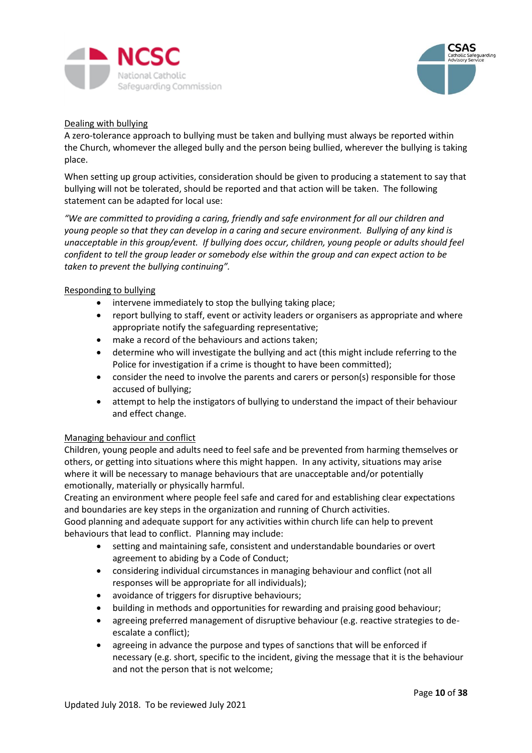



### <span id="page-9-0"></span>Dealing with bullying

A zero-tolerance approach to bullying must be taken and bullying must always be reported within the Church, whomever the alleged bully and the person being bullied, wherever the bullying is taking place.

When setting up group activities, consideration should be given to producing a statement to say that bullying will not be tolerated, should be reported and that action will be taken. The following statement can be adapted for local use:

*"We are committed to providing a caring, friendly and safe environment for all our children and young people so that they can develop in a caring and secure environment. Bullying of any kind is unacceptable in this group/event. If bullying does occur, children, young people or adults should feel confident to tell the group leader or somebody else within the group and can expect action to be taken to prevent the bullying continuing".* 

### <span id="page-9-1"></span>Responding to bullying

- intervene immediately to stop the bullying taking place;
- report bullying to staff, event or activity leaders or organisers as appropriate and where appropriate notify the safeguarding representative;
- make a record of the behaviours and actions taken;
- determine who will investigate the bullying and act (this might include referring to the Police for investigation if a crime is thought to have been committed);
- consider the need to involve the parents and carers or person(s) responsible for those accused of bullying;
- attempt to help the instigators of bullying to understand the impact of their behaviour and effect change.

### <span id="page-9-2"></span>Managing behaviour and conflict

Children, young people and adults need to feel safe and be prevented from harming themselves or others, or getting into situations where this might happen. In any activity, situations may arise where it will be necessary to manage behaviours that are unacceptable and/or potentially emotionally, materially or physically harmful.

Creating an environment where people feel safe and cared for and establishing clear expectations and boundaries are key steps in the organization and running of Church activities.

Good planning and adequate support for any activities within church life can help to prevent behaviours that lead to conflict. Planning may include:

- setting and maintaining safe, consistent and understandable boundaries or overt agreement to abiding by a Code of Conduct;
- considering individual circumstances in managing behaviour and conflict (not all responses will be appropriate for all individuals);
- avoidance of triggers for disruptive behaviours;
- building in methods and opportunities for rewarding and praising good behaviour;
- agreeing preferred management of disruptive behaviour (e.g. reactive strategies to deescalate a conflict);
- agreeing in advance the purpose and types of sanctions that will be enforced if necessary (e.g. short, specific to the incident, giving the message that it is the behaviour and not the person that is not welcome;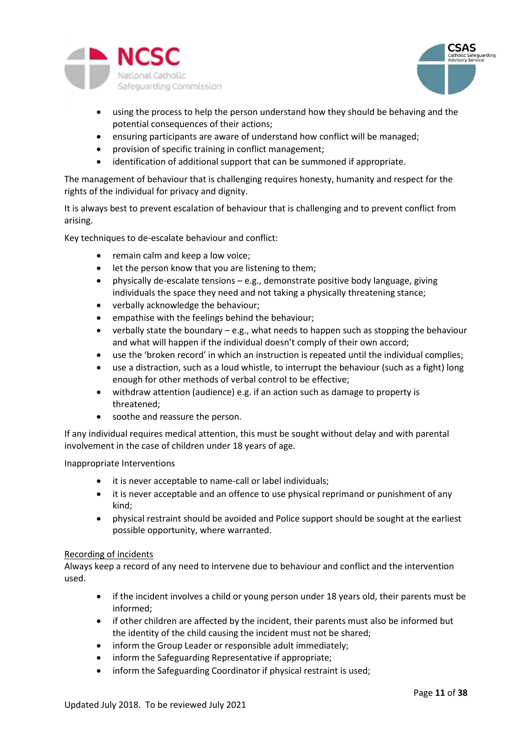



- using the process to help the person understand how they should be behaving and the potential consequences of their actions;
- ensuring participants are aware of understand how conflict will be managed;
- provision of specific training in conflict management;
- identification of additional support that can be summoned if appropriate.

The management of behaviour that is challenging requires honesty, humanity and respect for the rights of the individual for privacy and dignity.

It is always best to prevent escalation of behaviour that is challenging and to prevent conflict from arising.

Key techniques to de-escalate behaviour and conflict:

- remain calm and keep a low voice;
- let the person know that you are listening to them;
- physically de-escalate tensions e.g., demonstrate positive body language, giving individuals the space they need and not taking a physically threatening stance;
- verbally acknowledge the behaviour;
- empathise with the feelings behind the behaviour;
- verbally state the boundary e.g., what needs to happen such as stopping the behaviour and what will happen if the individual doesn't comply of their own accord;
- use the 'broken record' in which an instruction is repeated until the individual complies;
- use a distraction, such as a loud whistle, to interrupt the behaviour (such as a fight) long enough for other methods of verbal control to be effective;
- withdraw attention (audience) e.g. if an action such as damage to property is threatened;
- soothe and reassure the person.

If any individual requires medical attention, this must be sought without delay and with parental involvement in the case of children under 18 years of age.

#### <span id="page-10-0"></span>Inappropriate Interventions

- it is never acceptable to name-call or label individuals;
- it is never acceptable and an offence to use physical reprimand or punishment of any kind;
- physical restraint should be avoided and Police support should be sought at the earliest possible opportunity, where warranted.

#### Recording of incidents

Always keep a record of any need to intervene due to behaviour and conflict and the intervention used.

- if the incident involves a child or young person under 18 years old, their parents must be informed;
- if other children are affected by the incident, their parents must also be informed but the identity of the child causing the incident must not be shared;
- inform the Group Leader or responsible adult immediately;
- inform the Safeguarding Representative if appropriate;
- inform the Safeguarding Coordinator if physical restraint is used;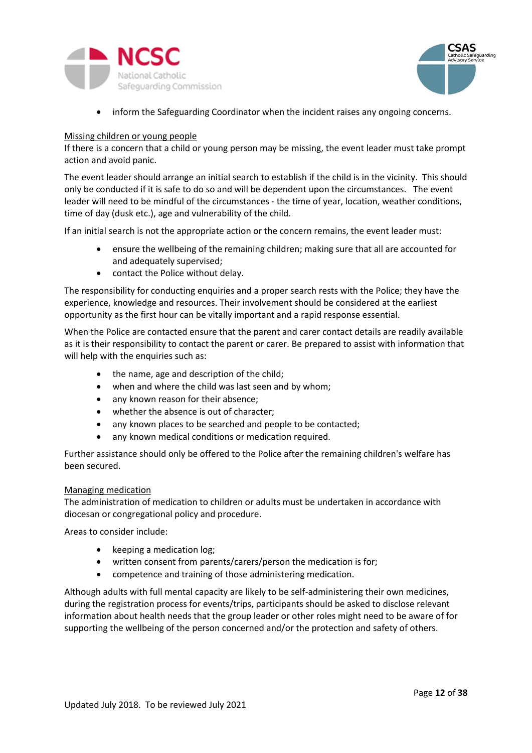



• inform the Safeguarding Coordinator when the incident raises any ongoing concerns.

#### <span id="page-11-0"></span>Missing children or young people

If there is a concern that a child or young person may be missing, the event leader must take prompt action and avoid panic.

The event leader should arrange an initial search to establish if the child is in the vicinity. This should only be conducted if it is safe to do so and will be dependent upon the circumstances. The event leader will need to be mindful of the circumstances - the time of year, location, weather conditions, time of day (dusk etc.), age and vulnerability of the child.

If an initial search is not the appropriate action or the concern remains, the event leader must:

- ensure the wellbeing of the remaining children; making sure that all are accounted for and adequately supervised;
- contact the Police without delay.

The responsibility for conducting enquiries and a proper search rests with the Police; they have the experience, knowledge and resources. Their involvement should be considered at the earliest opportunity as the first hour can be vitally important and a rapid response essential.

When the Police are contacted ensure that the parent and carer contact details are readily available as it is their responsibility to contact the parent or carer. Be prepared to assist with information that will help with the enquiries such as:

- the name, age and description of the child;
- when and where the child was last seen and by whom;
- any known reason for their absence;
- whether the absence is out of character;
- any known places to be searched and people to be contacted;
- any known medical conditions or medication required.

Further assistance should only be offered to the Police after the remaining children's welfare has been secured.

#### <span id="page-11-1"></span>Managing medication

The administration of medication to children or adults must be undertaken in accordance with diocesan or congregational policy and procedure.

Areas to consider include:

- keeping a medication log;
- written consent from parents/carers/person the medication is for;
- competence and training of those administering medication.

Although adults with full mental capacity are likely to be self-administering their own medicines, during the registration process for events/trips, participants should be asked to disclose relevant information about health needs that the group leader or other roles might need to be aware of for supporting the wellbeing of the person concerned and/or the protection and safety of others.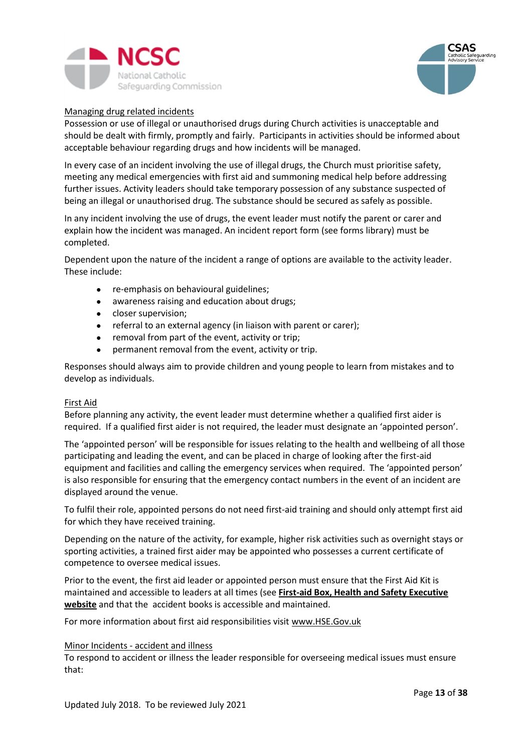



#### <span id="page-12-0"></span>Managing drug related incidents

Possession or use of illegal or unauthorised drugs during Church activities is unacceptable and should be dealt with firmly, promptly and fairly. Participants in activities should be informed about acceptable behaviour regarding drugs and how incidents will be managed.

In every case of an incident involving the use of illegal drugs, the Church must prioritise safety, meeting any medical emergencies with first aid and summoning medical help before addressing further issues. Activity leaders should take temporary possession of any substance suspected of being an illegal or unauthorised drug. The substance should be secured as safely as possible.

In any incident involving the use of drugs, the event leader must notify the parent or carer and explain how the incident was managed. An incident report form (see forms library) must be completed.

Dependent upon the nature of the incident a range of options are available to the activity leader. These include:

- re-emphasis on behavioural guidelines;
- awareness raising and education about drugs;
- closer supervision;
- referral to an external agency (in liaison with parent or carer);
- removal from part of the event, activity or trip;
- permanent removal from the event, activity or trip.

Responses should always aim to provide children and young people to learn from mistakes and to develop as individuals.

#### <span id="page-12-1"></span>First Aid

Before planning any activity, the event leader must determine whether a qualified first aider is required. If a qualified first aider is not required, the leader must designate an 'appointed person'.

The 'appointed person' will be responsible for issues relating to the health and wellbeing of all those participating and leading the event, and can be placed in charge of looking after the first-aid equipment and facilities and calling the emergency services when required. The 'appointed person' is also responsible for ensuring that the emergency contact numbers in the event of an incident are displayed around the venue.

To fulfil their role, appointed persons do not need first-aid training and should only attempt first aid for which they have received training.

Depending on the nature of the activity, for example, higher risk activities such as overnight stays or sporting activities, a trained first aider may be appointed who possesses a current certificate of competence to oversee medical issues.

Prior to the event, the first aid leader or appointed person must ensure that the First Aid Kit is maintained and accessible to leaders at all times (see **[First-aid Box, Health and Safety Executive](http://www.hse.gov.uk/firstaid/faqs.htm#first-aid-box)  [website](http://www.hse.gov.uk/firstaid/faqs.htm#first-aid-box)** and that the accident books is accessible and maintained.

For more information about first aid responsibilities visit [www.HSE.Gov.uk](http://www.hse.gov.uk/)

#### <span id="page-12-2"></span>Minor Incidents - accident and illness

To respond to accident or illness the leader responsible for overseeing medical issues must ensure that: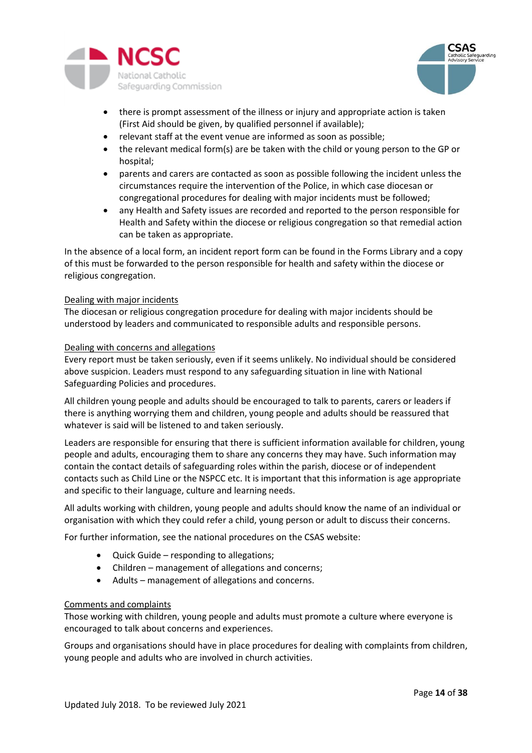



- there is prompt assessment of the illness or injury and appropriate action is taken (First Aid should be given, by qualified personnel if available);
- relevant staff at the event venue are informed as soon as possible;
- the relevant medical form(s) are be taken with the child or young person to the GP or hospital;
- parents and carers are contacted as soon as possible following the incident unless the circumstances require the intervention of the Police, in which case diocesan or congregational procedures for dealing with major incidents must be followed;
- any Health and Safety issues are recorded and reported to the person responsible for Health and Safety within the diocese or religious congregation so that remedial action can be taken as appropriate.

In the absence of a local form, an incident report form can be found in the Forms Library and a copy of this must be forwarded to the person responsible for health and safety within the diocese or religious congregation.

### <span id="page-13-0"></span>Dealing with major incidents

The diocesan or religious congregation procedure for dealing with major incidents should be understood by leaders and communicated to responsible adults and responsible persons.

# <span id="page-13-1"></span>Dealing with concerns and allegations

Every report must be taken seriously, even if it seems unlikely. No individual should be considered above suspicion. Leaders must respond to any safeguarding situation in line with National Safeguarding Policies and procedures.

All children young people and adults should be encouraged to talk to parents, carers or leaders if there is anything worrying them and children, young people and adults should be reassured that whatever is said will be listened to and taken seriously.

Leaders are responsible for ensuring that there is sufficient information available for children, young people and adults, encouraging them to share any concerns they may have. Such information may contain the contact details of safeguarding roles within the parish, diocese or of independent contacts such as Child Line or the NSPCC etc. It is important that this information is age appropriate and specific to their language, culture and learning needs.

All adults working with children, young people and adults should know the name of an individual or organisation with which they could refer a child, young person or adult to discuss their concerns.

For further information, see the national procedures on the CSAS website:

- Quick Guide responding to allegations;
- Children management of allegations and concerns;
- Adults management of allegations and concerns.

### <span id="page-13-2"></span>Comments and complaints

Those working with children, young people and adults must promote a culture where everyone is encouraged to talk about concerns and experiences.

Groups and organisations should have in place procedures for dealing with complaints from children, young people and adults who are involved in church activities.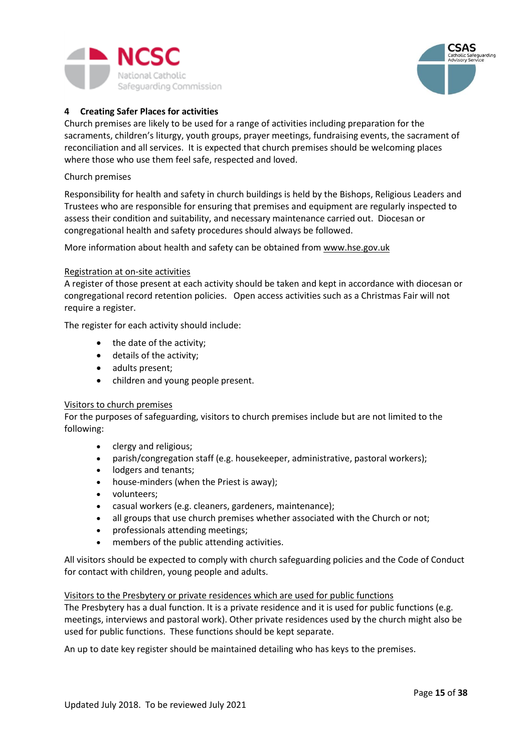



# <span id="page-14-0"></span>**4 Creating Safer Places for activities**

Church premises are likely to be used for a range of activities including preparation for the sacraments, children's liturgy, youth groups, prayer meetings, fundraising events, the sacrament of reconciliation and all services. It is expected that church premises should be welcoming places where those who use them feel safe, respected and loved.

#### <span id="page-14-1"></span>Church premises

Responsibility for health and safety in church buildings is held by the Bishops, Religious Leaders and Trustees who are responsible for ensuring that premises and equipment are regularly inspected to assess their condition and suitability, and necessary maintenance carried out. Diocesan or congregational health and safety procedures should always be followed.

More information about health and safety can be obtained from [www.hse.gov.uk](http://www.hse.gov.uk/)

#### <span id="page-14-2"></span>Registration at on-site activities

A register of those present at each activity should be taken and kept in accordance with diocesan or congregational record retention policies. Open access activities such as a Christmas Fair will not require a register.

The register for each activity should include:

- the date of the activity;
- details of the activity;
- adults present;
- children and young people present.

#### <span id="page-14-3"></span>Visitors to church premises

For the purposes of safeguarding, visitors to church premises include but are not limited to the following:

- clergy and religious;
- parish/congregation staff (e.g. housekeeper, administrative, pastoral workers);
- lodgers and tenants;
- house-minders (when the Priest is away);
- volunteers;
- casual workers (e.g. cleaners, gardeners, maintenance);
- all groups that use church premises whether associated with the Church or not;
- professionals attending meetings;
- members of the public attending activities.

All visitors should be expected to comply with church safeguarding policies and the Code of Conduct for contact with children, young people and adults.

#### <span id="page-14-4"></span>Visitors to the Presbytery or private residences which are used for public functions

The Presbytery has a dual function. It is a private residence and it is used for public functions (e.g. meetings, interviews and pastoral work). Other private residences used by the church might also be used for public functions. These functions should be kept separate.

An up to date key register should be maintained detailing who has keys to the premises.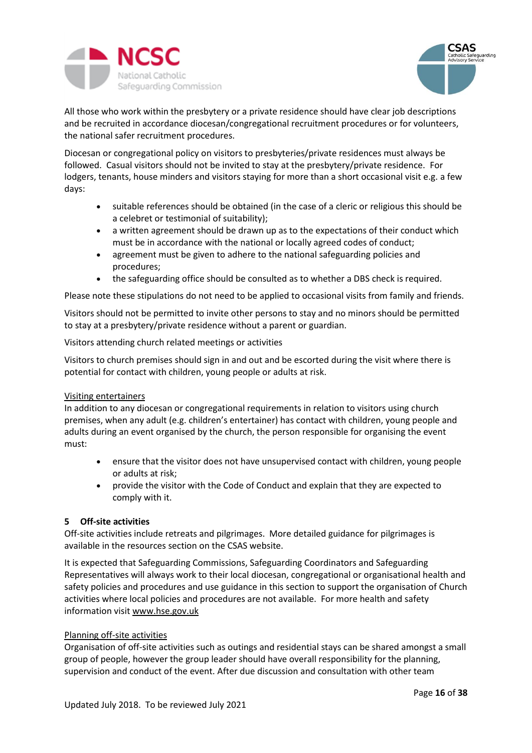



All those who work within the presbytery or a private residence should have clear job descriptions and be recruited in accordance diocesan/congregational recruitment procedures or for volunteers, the national safer recruitment procedures.

Diocesan or congregational policy on visitors to presbyteries/private residences must always be followed. Casual visitors should not be invited to stay at the presbytery/private residence. For lodgers, tenants, house minders and visitors staying for more than a short occasional visit e.g. a few days:

- suitable references should be obtained (in the case of a cleric or religious this should be a celebret or testimonial of suitability);
- a written agreement should be drawn up as to the expectations of their conduct which must be in accordance with the national or locally agreed codes of conduct;
- agreement must be given to adhere to the national safeguarding policies and procedures;
- the safeguarding office should be consulted as to whether a DBS check is required.

Please note these stipulations do not need to be applied to occasional visits from family and friends.

Visitors should not be permitted to invite other persons to stay and no minors should be permitted to stay at a presbytery/private residence without a parent or guardian.

<span id="page-15-0"></span>Visitors attending church related meetings or activities

Visitors to church premises should sign in and out and be escorted during the visit where there is potential for contact with children, young people or adults at risk.

# <span id="page-15-1"></span>Visiting entertainers

In addition to any diocesan or congregational requirements in relation to visitors using church premises, when any adult (e.g. children's entertainer) has contact with children, young people and adults during an event organised by the church, the person responsible for organising the event must:

- ensure that the visitor does not have unsupervised contact with children, young people or adults at risk;
- provide the visitor with the Code of Conduct and explain that they are expected to comply with it.

# <span id="page-15-2"></span>**5 Off-site activities**

Off-site activities include retreats and pilgrimages. More detailed guidance for pilgrimages is available in the resources section on the CSAS website.

It is expected that Safeguarding Commissions, Safeguarding Coordinators and Safeguarding Representatives will always work to their local diocesan, congregational or organisational health and safety policies and procedures and use guidance in this section to support the organisation of Church activities where local policies and procedures are not available. For more health and safety information visit [www.hse.gov.uk](http://www.hse.gov.uk/)

# <span id="page-15-3"></span>Planning off-site activities

Organisation of off-site activities such as outings and residential stays can be shared amongst a small group of people, however the group leader should have overall responsibility for the planning, supervision and conduct of the event. After due discussion and consultation with other team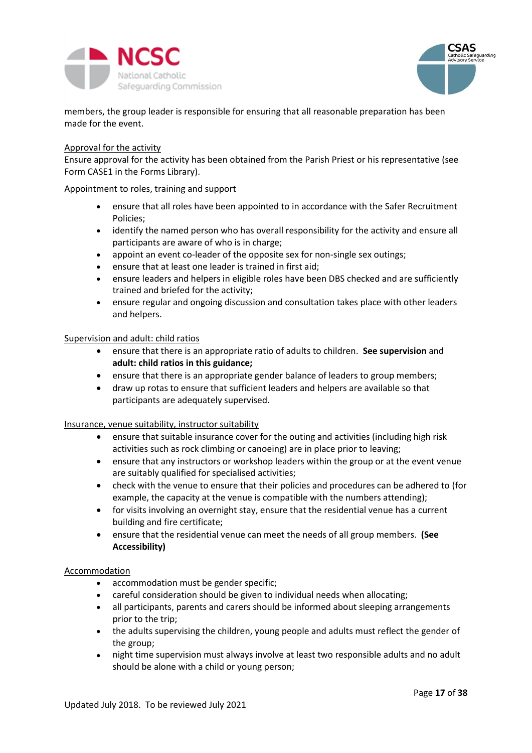



members, the group leader is responsible for ensuring that all reasonable preparation has been made for the event.

#### <span id="page-16-0"></span>Approval for the activity

Ensure approval for the activity has been obtained from the Parish Priest or his representative (see Form CASE1 in the Forms Library).

#### <span id="page-16-1"></span>Appointment to roles, training and support

- ensure that all roles have been appointed to in accordance with the Safer Recruitment Policies;
- identify the named person who has overall responsibility for the activity and ensure all participants are aware of who is in charge;
- appoint an event co-leader of the opposite sex for non-single sex outings;
- ensure that at least one leader is trained in first aid;
- ensure leaders and helpers in eligible roles have been DBS checked and are sufficiently trained and briefed for the activity;
- ensure regular and ongoing discussion and consultation takes place with other leaders and helpers.

#### <span id="page-16-2"></span>Supervision and adult: child ratios

- ensure that there is an appropriate ratio of adults to children. **See supervision** and **adult: child ratios in this guidance;**
- ensure that there is an appropriate gender balance of leaders to group members;
- draw up rotas to ensure that sufficient leaders and helpers are available so that participants are adequately supervised.

#### Insurance, venue suitability, instructor suitability

- ensure that suitable insurance cover for the outing and activities (including high risk activities such as rock climbing or canoeing) are in place prior to leaving;
- ensure that any instructors or workshop leaders within the group or at the event venue are suitably qualified for specialised activities;
- check with the venue to ensure that their policies and procedures can be adhered to (for example, the capacity at the venue is compatible with the numbers attending);
- for visits involving an overnight stay, ensure that the residential venue has a current building and fire certificate;
- ensure that the residential venue can meet the needs of all group members. **(See Accessibility)**

### Accommodation

- accommodation must be gender specific;
- careful consideration should be given to individual needs when allocating;
- all participants, parents and carers should be informed about sleeping arrangements prior to the trip;
- the adults supervising the children, young people and adults must reflect the gender of the group;
- night time supervision must always involve at least two responsible adults and no adult should be alone with a child or young person;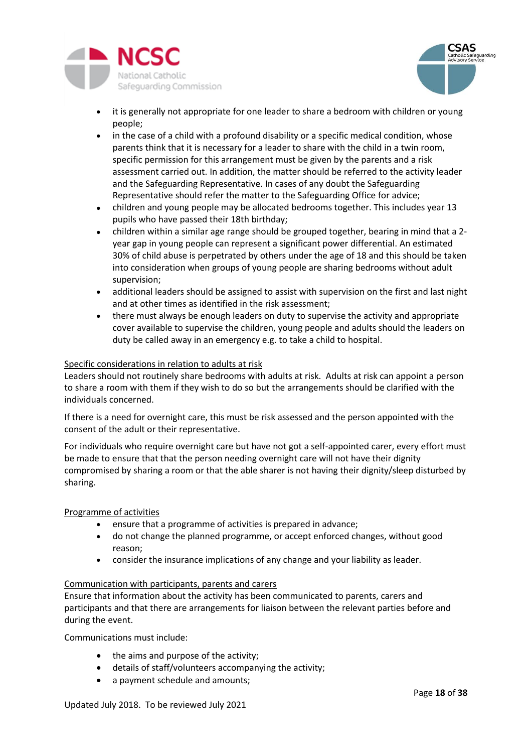



- it is generally not appropriate for one leader to share a bedroom with children or young people;
- in the case of a child with a profound disability or a specific medical condition, whose parents think that it is necessary for a leader to share with the child in a twin room, specific permission for this arrangement must be given by the parents and a risk assessment carried out. In addition, the matter should be referred to the activity leader and the Safeguarding Representative. In cases of any doubt the Safeguarding Representative should refer the matter to the Safeguarding Office for advice;
- children and young people may be allocated bedrooms together. This includes year 13 pupils who have passed their 18th birthday;
- children within a similar age range should be grouped together, bearing in mind that a 2 year gap in young people can represent a significant power differential. An estimated 30% of child abuse is perpetrated by others under the age of 18 and this should be taken into consideration when groups of young people are sharing bedrooms without adult supervision;
- additional leaders should be assigned to assist with supervision on the first and last night and at other times as identified in the risk assessment;
- there must always be enough leaders on duty to supervise the activity and appropriate cover available to supervise the children, young people and adults should the leaders on duty be called away in an emergency e.g. to take a child to hospital.

# Specific considerations in relation to adults at risk

Leaders should not routinely share bedrooms with adults at risk. Adults at risk can appoint a person to share a room with them if they wish to do so but the arrangements should be clarified with the individuals concerned.

If there is a need for overnight care, this must be risk assessed and the person appointed with the consent of the adult or their representative.

For individuals who require overnight care but have not got a self-appointed carer, every effort must be made to ensure that that the person needing overnight care will not have their dignity compromised by sharing a room or that the able sharer is not having their dignity/sleep disturbed by sharing.

### <span id="page-17-0"></span>Programme of activities

- ensure that a programme of activities is prepared in advance;
- do not change the planned programme, or accept enforced changes, without good reason;
- consider the insurance implications of any change and your liability as leader.

### Communication with participants, parents and carers

Ensure that information about the activity has been communicated to parents, carers and participants and that there are arrangements for liaison between the relevant parties before and during the event.

Communications must include:

- the aims and purpose of the activity;
- details of staff/volunteers accompanying the activity;
- a payment schedule and amounts;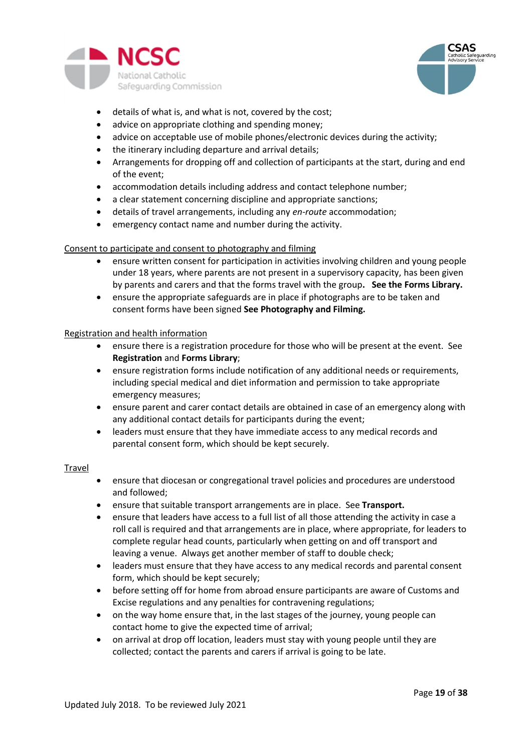



- details of what is, and what is not, covered by the cost;
- advice on appropriate clothing and spending money;
- advice on acceptable use of mobile phones/electronic devices during the activity;
- the itinerary including departure and arrival details;
- Arrangements for dropping off and collection of participants at the start, during and end of the event;
- accommodation details including address and contact telephone number;
- a clear statement concerning discipline and appropriate sanctions;
- details of travel arrangements, including any *en-route* accommodation;
- emergency contact name and number during the activity.

### Consent to participate and consent to photography and filming

- ensure written consent for participation in activities involving children and young people under 18 years, where parents are not present in a supervisory capacity, has been given by parents and carers and that the forms travel with the group**. See the Forms Library.**
- ensure the appropriate safeguards are in place if photographs are to be taken and consent forms have been signed **See Photography and Filming.**

#### <span id="page-18-0"></span>Registration and health information

- ensure there is a registration procedure for those who will be present at the event. See **Registration** and **Forms Library**;
- ensure registration forms include notification of any additional needs or requirements, including special medical and diet information and permission to take appropriate emergency measures;
- ensure parent and carer contact details are obtained in case of an emergency along with any additional contact details for participants during the event;
- leaders must ensure that they have immediate access to any medical records and parental consent form, which should be kept securely.

#### <span id="page-18-1"></span>Travel

- ensure that diocesan or congregational travel policies and procedures are understood and followed;
- ensure that suitable transport arrangements are in place. See **Transport.**
- ensure that leaders have access to a full list of all those attending the activity in case a roll call is required and that arrangements are in place, where appropriate, for leaders to complete regular head counts, particularly when getting on and off transport and leaving a venue. Always get another member of staff to double check;
- leaders must ensure that they have access to any medical records and parental consent form, which should be kept securely;
- before setting off for home from abroad ensure participants are aware of Customs and Excise regulations and any penalties for contravening regulations;
- on the way home ensure that, in the last stages of the journey, young people can contact home to give the expected time of arrival;
- on arrival at drop off location, leaders must stay with young people until they are collected; contact the parents and carers if arrival is going to be late.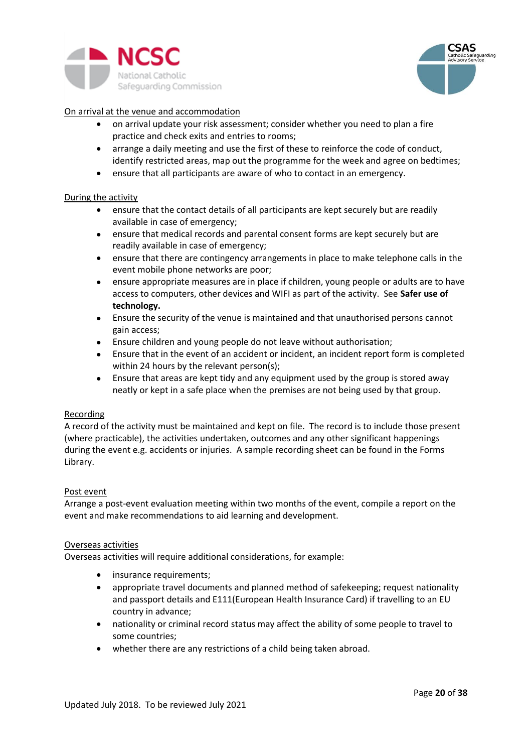



### <span id="page-19-0"></span>On arrival at the venue and accommodation

- on arrival update your risk assessment; consider whether you need to plan a fire practice and check exits and entries to rooms;
- arrange a daily meeting and use the first of these to reinforce the code of conduct, identify restricted areas, map out the programme for the week and agree on bedtimes;
- ensure that all participants are aware of who to contact in an emergency.

#### <span id="page-19-1"></span>During the activity

- ensure that the contact details of all participants are kept securely but are readily available in case of emergency;
- ensure that medical records and parental consent forms are kept securely but are readily available in case of emergency;
- ensure that there are contingency arrangements in place to make telephone calls in the event mobile phone networks are poor;
- ensure appropriate measures are in place if children, young people or adults are to have access to computers, other devices and WIFI as part of the activity. See **Safer use of technology.**
- Ensure the security of the venue is maintained and that unauthorised persons cannot gain access;
- Ensure children and young people do not leave without authorisation;
- Ensure that in the event of an accident or incident, an incident report form is completed within 24 hours by the relevant person(s);
- Ensure that areas are kept tidy and any equipment used by the group is stored away neatly or kept in a safe place when the premises are not being used by that group.

### <span id="page-19-2"></span>Recording

A record of the activity must be maintained and kept on file. The record is to include those present (where practicable), the activities undertaken, outcomes and any other significant happenings during the event e.g. accidents or injuries. A sample recording sheet can be found in the Forms Library.

### <span id="page-19-3"></span>Post event

Arrange a post-event evaluation meeting within two months of the event, compile a report on the event and make recommendations to aid learning and development.

#### <span id="page-19-4"></span>Overseas activities

Overseas activities will require additional considerations, for example:

- insurance requirements;
- appropriate travel documents and planned method of safekeeping; request nationality and passport details and E111(European Health Insurance Card) if travelling to an EU country in advance;
- nationality or criminal record status may affect the ability of some people to travel to some countries;
- whether there are any restrictions of a child being taken abroad.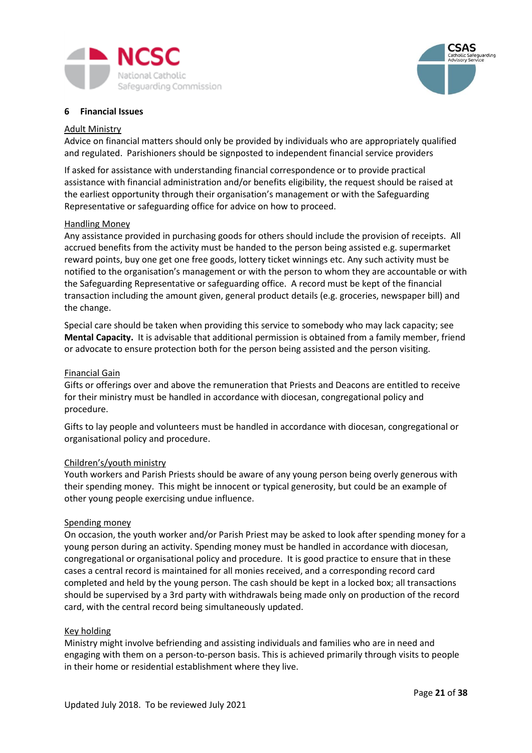



### <span id="page-20-0"></span>**6 Financial Issues**

#### <span id="page-20-1"></span>Adult Ministry

Advice on financial matters should only be provided by individuals who are appropriately qualified and regulated. Parishioners should be signposted to independent financial service providers

If asked for assistance with understanding financial correspondence or to provide practical assistance with financial administration and/or benefits eligibility, the request should be raised at the earliest opportunity through their organisation's management or with the Safeguarding Representative or safeguarding office for advice on how to proceed.

#### Handling Money

Any assistance provided in purchasing goods for others should include the provision of receipts. All accrued benefits from the activity must be handed to the person being assisted e.g. supermarket reward points, buy one get one free goods, lottery ticket winnings etc. Any such activity must be notified to the organisation's management or with the person to whom they are accountable or with the Safeguarding Representative or safeguarding office. A record must be kept of the financial transaction including the amount given, general product details (e.g. groceries, newspaper bill) and the change.

Special care should be taken when providing this service to somebody who may lack capacity; see **Mental Capacity.** It is advisable that additional permission is obtained from a family member, friend or advocate to ensure protection both for the person being assisted and the person visiting.

#### <span id="page-20-2"></span>Financial Gain

Gifts or offerings over and above the remuneration that Priests and Deacons are entitled to receive for their ministry must be handled in accordance with diocesan, congregational policy and procedure.

<span id="page-20-3"></span>Gifts to lay people and volunteers must be handled in accordance with diocesan, congregational or organisational policy and procedure.

#### <span id="page-20-4"></span>Children's/youth ministry

Youth workers and Parish Priests should be aware of any young person being overly generous with their spending money. This might be innocent or typical generosity, but could be an example of other young people exercising undue influence.

#### <span id="page-20-5"></span>Spending money

On occasion, the youth worker and/or Parish Priest may be asked to look after spending money for a young person during an activity. Spending money must be handled in accordance with diocesan, congregational or organisational policy and procedure. It is good practice to ensure that in these cases a central record is maintained for all monies received, and a corresponding record card completed and held by the young person. The cash should be kept in a locked box; all transactions should be supervised by a 3rd party with withdrawals being made only on production of the record card, with the central record being simultaneously updated.

#### <span id="page-20-6"></span>Key holding

Ministry might involve befriending and assisting individuals and families who are in need and engaging with them on a person-to-person basis. This is achieved primarily through visits to people in their home or residential establishment where they live.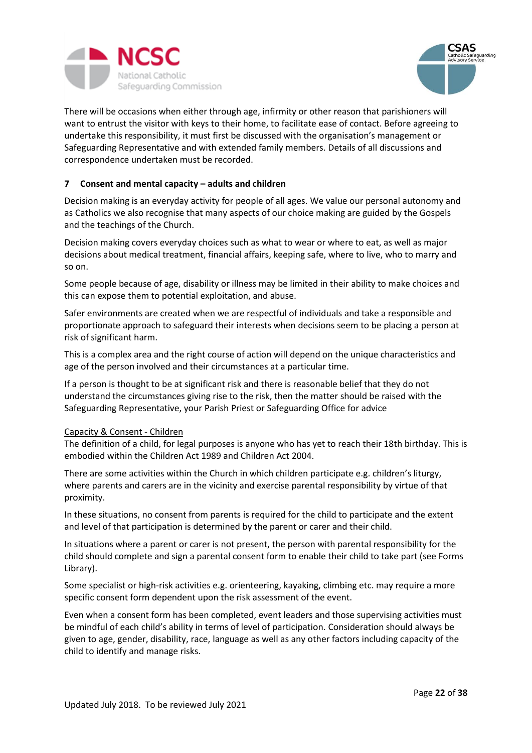



There will be occasions when either through age, infirmity or other reason that parishioners will want to entrust the visitor with keys to their home, to facilitate ease of contact. Before agreeing to undertake this responsibility, it must first be discussed with the organisation's management or Safeguarding Representative and with extended family members. Details of all discussions and correspondence undertaken must be recorded.

# <span id="page-21-0"></span>**7 Consent and mental capacity – adults and children**

Decision making is an everyday activity for people of all ages. We value our personal autonomy and as Catholics we also recognise that many aspects of our choice making are guided by the Gospels and the teachings of the Church.

Decision making covers everyday choices such as what to wear or where to eat, as well as major decisions about medical treatment, financial affairs, keeping safe, where to live, who to marry and so on.

Some people because of age, disability or illness may be limited in their ability to make choices and this can expose them to potential exploitation, and abuse.

Safer environments are created when we are respectful of individuals and take a responsible and proportionate approach to safeguard their interests when decisions seem to be placing a person at risk of significant harm.

This is a complex area and the right course of action will depend on the unique characteristics and age of the person involved and their circumstances at a particular time.

If a person is thought to be at significant risk and there is reasonable belief that they do not understand the circumstances giving rise to the risk, then the matter should be raised with the Safeguarding Representative, your Parish Priest or Safeguarding Office for advice

### <span id="page-21-1"></span>Capacity & Consent - Children

The definition of a child, for legal purposes is anyone who has yet to reach their 18th birthday. This is embodied within the Children Act 1989 and Children Act 2004.

There are some activities within the Church in which children participate e.g. children's liturgy, where parents and carers are in the vicinity and exercise parental responsibility by virtue of that proximity.

In these situations, no consent from parents is required for the child to participate and the extent and level of that participation is determined by the parent or carer and their child.

In situations where a parent or carer is not present, the person with parental responsibility for the child should complete and sign a parental consent form to enable their child to take part (see Forms Library).

Some specialist or high-risk activities e.g. orienteering, kayaking, climbing etc. may require a more specific consent form dependent upon the risk assessment of the event.

Even when a consent form has been completed, event leaders and those supervising activities must be mindful of each child's ability in terms of level of participation. Consideration should always be given to age, gender, disability, race, language as well as any other factors including capacity of the child to identify and manage risks.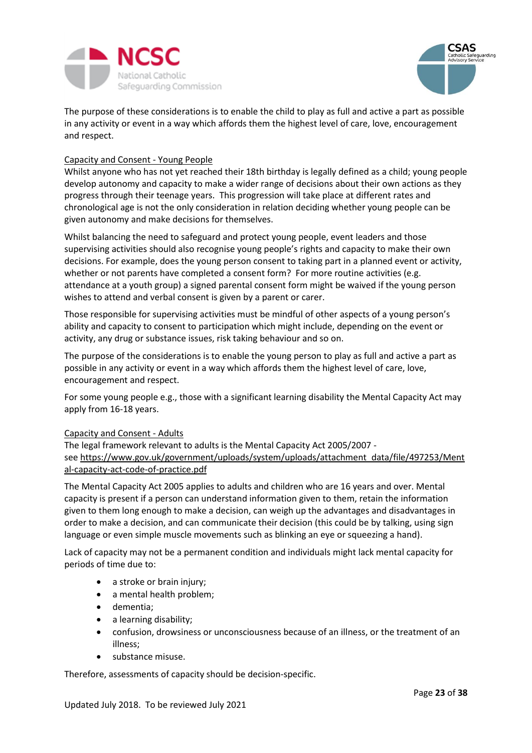



The purpose of these considerations is to enable the child to play as full and active a part as possible in any activity or event in a way which affords them the highest level of care, love, encouragement and respect.

### <span id="page-22-0"></span>Capacity and Consent - Young People

Whilst anyone who has not yet reached their 18th birthday is legally defined as a child; young people develop autonomy and capacity to make a wider range of decisions about their own actions as they progress through their teenage years. This progression will take place at different rates and chronological age is not the only consideration in relation deciding whether young people can be given autonomy and make decisions for themselves.

Whilst balancing the need to safeguard and protect young people, event leaders and those supervising activities should also recognise young people's rights and capacity to make their own decisions. For example, does the young person consent to taking part in a planned event or activity, whether or not parents have completed a consent form? For more routine activities (e.g. attendance at a youth group) a signed parental consent form might be waived if the young person wishes to attend and verbal consent is given by a parent or carer.

Those responsible for supervising activities must be mindful of other aspects of a young person's ability and capacity to consent to participation which might include, depending on the event or activity, any drug or substance issues, risk taking behaviour and so on.

The purpose of the considerations is to enable the young person to play as full and active a part as possible in any activity or event in a way which affords them the highest level of care, love, encouragement and respect.

For some young people e.g., those with a significant learning disability the Mental Capacity Act may apply from 16-18 years.

### <span id="page-22-1"></span>Capacity and Consent - Adults

The legal framework relevant to adults is the Mental Capacity Act 2005/2007 see [https://www.gov.uk/government/uploads/system/uploads/attachment\\_data/file/497253/Ment](https://www.gov.uk/government/uploads/system/uploads/attachment_data/file/497253/Mental-capacity-act-code-of-practice.pdf) [al-capacity-act-code-of-practice.pdf](https://www.gov.uk/government/uploads/system/uploads/attachment_data/file/497253/Mental-capacity-act-code-of-practice.pdf)

The Mental Capacity Act 2005 applies to adults and children who are 16 years and over. Mental capacity is present if a person can understand information given to them, retain the information given to them long enough to make a decision, can weigh up the advantages and disadvantages in order to make a decision, and can communicate their decision (this could be by talking, using sign language or even simple muscle movements such as blinking an eye or squeezing a hand).

Lack of capacity may not be a permanent condition and individuals might lack mental capacity for periods of time due to:

- a stroke or brain injury;
- a mental health problem;
- dementia;
- a learning disability;
- confusion, drowsiness or unconsciousness because of an illness, or the treatment of an illness;
- substance misuse.

Therefore, assessments of capacity should be decision-specific.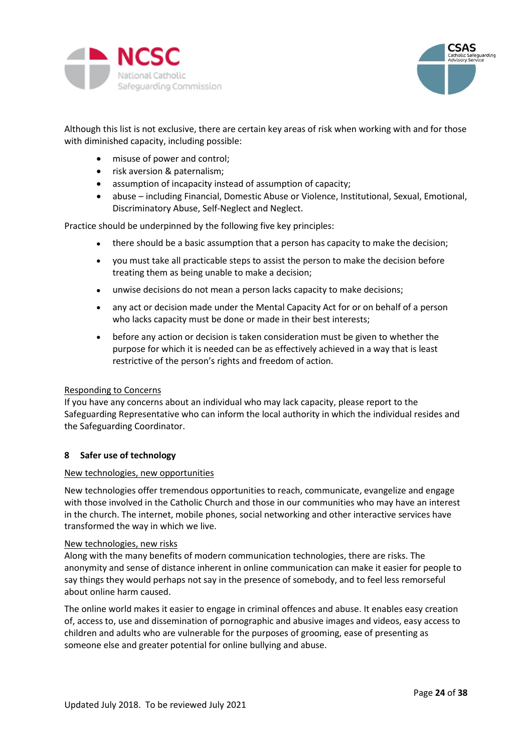



Although this list is not exclusive, there are certain key areas of risk when working with and for those with diminished capacity, including possible:

- misuse of power and control;
- risk aversion & paternalism;
- assumption of incapacity instead of assumption of capacity;
- abuse including Financial, Domestic Abuse or Violence, Institutional, Sexual, Emotional, Discriminatory Abuse, Self-Neglect and Neglect.

Practice should be underpinned by the following five key principles:

- there should be a basic assumption that a person has capacity to make the decision;
- you must take all practicable steps to assist the person to make the decision before treating them as being unable to make a decision;
- unwise decisions do not mean a person lacks capacity to make decisions;
- any act or decision made under the Mental Capacity Act for or on behalf of a person who lacks capacity must be done or made in their best interests;
- before any action or decision is taken consideration must be given to whether the purpose for which it is needed can be as effectively achieved in a way that is least restrictive of the person's rights and freedom of action.

### <span id="page-23-0"></span>Responding to Concerns

If you have any concerns about an individual who may lack capacity, please report to the Safeguarding Representative who can inform the local authority in which the individual resides and the Safeguarding Coordinator.

### <span id="page-23-1"></span>**8 Safer use of technology**

#### <span id="page-23-2"></span>New technologies, new opportunities

New technologies offer tremendous opportunities to reach, communicate, evangelize and engage with those involved in the Catholic Church and those in our communities who may have an interest in the church. The internet, mobile phones, social networking and other interactive services have transformed the way in which we live.

#### <span id="page-23-3"></span>New technologies, new risks

Along with the many benefits of modern communication technologies, there are risks. The anonymity and sense of distance inherent in online communication can make it easier for people to say things they would perhaps not say in the presence of somebody, and to feel less remorseful about online harm caused.

The online world makes it easier to engage in criminal offences and abuse. It enables easy creation of, access to, use and dissemination of pornographic and abusive images and videos, easy access to children and adults who are vulnerable for the purposes of grooming, ease of presenting as someone else and greater potential for online bullying and abuse.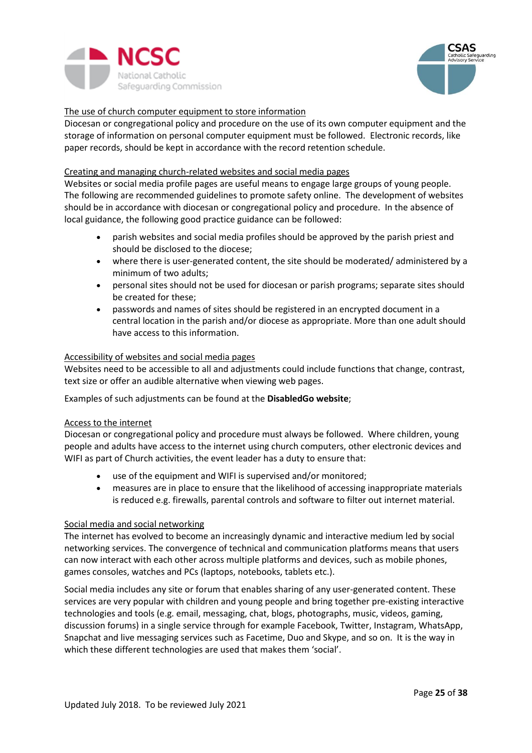



# The use of church computer equipment to store information

Diocesan or congregational policy and procedure on the use of its own computer equipment and the storage of information on personal computer equipment must be followed. Electronic records, like paper records, should be kept in accordance with the record retention schedule.

#### Creating and managing church-related websites and social media pages

Websites or social media profile pages are useful means to engage large groups of young people. The following are recommended guidelines to promote safety online. The development of websites should be in accordance with diocesan or congregational policy and procedure. In the absence of local guidance, the following good practice guidance can be followed:

- parish websites and social media profiles should be approved by the parish priest and should be disclosed to the diocese;
- where there is user-generated content, the site should be moderated/ administered by a minimum of two adults;
- personal sites should not be used for diocesan or parish programs; separate sites should be created for these;
- passwords and names of sites should be registered in an encrypted document in a central location in the parish and/or diocese as appropriate. More than one adult should have access to this information.

#### <span id="page-24-0"></span>Accessibility of websites and social media pages

Websites need to be accessible to all and adjustments could include functions that change, contrast, text size or offer an audible alternative when viewing web pages.

Examples of such adjustments can be found at the **[DisabledGo website](http://www.disabledgo.com/)**;

### <span id="page-24-1"></span>Access to the internet

Diocesan or congregational policy and procedure must always be followed. Where children, young people and adults have access to the internet using church computers, other electronic devices and WIFI as part of Church activities, the event leader has a duty to ensure that:

- use of the equipment and WIFI is supervised and/or monitored;
- measures are in place to ensure that the likelihood of accessing inappropriate materials is reduced e.g. firewalls, parental controls and software to filter out internet material.

#### <span id="page-24-2"></span>Social media and social networking

The internet has evolved to become an increasingly dynamic and interactive medium led by social networking services. The convergence of technical and communication platforms means that users can now interact with each other across multiple platforms and devices, such as mobile phones, games consoles, watches and PCs (laptops, notebooks, tablets etc.).

Social media includes any site or forum that enables sharing of any user-generated content. These services are very popular with children and young people and bring together pre-existing interactive technologies and tools (e.g. email, messaging, chat, blogs, photographs, music, videos, gaming, discussion forums) in a single service through for example Facebook, Twitter, Instagram, WhatsApp, Snapchat and live messaging services such as Facetime, Duo and Skype, and so on. It is the way in which these different technologies are used that makes them 'social'.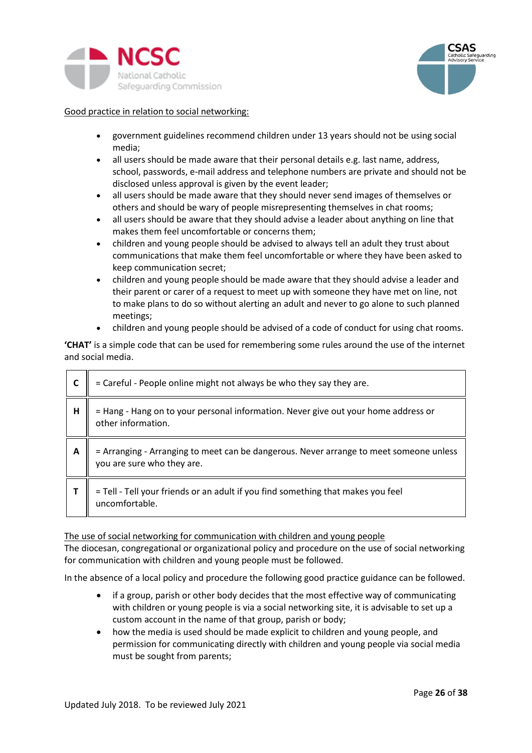



# Good practice in relation to social networking:

- government guidelines recommend children under 13 years should not be using social media;
- all users should be made aware that their personal details e.g. last name, address, school, passwords, e-mail address and telephone numbers are private and should not be disclosed unless approval is given by the event leader;
- all users should be made aware that they should never send images of themselves or others and should be wary of people misrepresenting themselves in chat rooms;
- all users should be aware that they should advise a leader about anything on line that makes them feel uncomfortable or concerns them;
- children and young people should be advised to always tell an adult they trust about communications that make them feel uncomfortable or where they have been asked to keep communication secret;
- children and young people should be made aware that they should advise a leader and their parent or carer of a request to meet up with someone they have met on line, not to make plans to do so without alerting an adult and never to go alone to such planned meetings;
- children and young people should be advised of a code of conduct for using chat rooms.

**'CHAT'** is a simple code that can be used for remembering some rules around the use of the internet and social media.

|   | = Careful - People online might not always be who they say they are.                                              |
|---|-------------------------------------------------------------------------------------------------------------------|
| н | = Hang - Hang on to your personal information. Never give out your home address or<br>other information.          |
| A | = Arranging - Arranging to meet can be dangerous. Never arrange to meet someone unless you are sure who they are. |
|   | = Tell - Tell your friends or an adult if you find something that makes you feel<br>uncomfortable.                |

### <span id="page-25-0"></span>The use of social networking for communication with children and young people

The diocesan, congregational or organizational policy and procedure on the use of social networking for communication with children and young people must be followed.

In the absence of a local policy and procedure the following good practice guidance can be followed.

- if a group, parish or other body decides that the most effective way of communicating with children or young people is via a social networking site, it is advisable to set up a custom account in the name of that group, parish or body;
- how the media is used should be made explicit to children and young people, and permission for communicating directly with children and young people via social media must be sought from parents;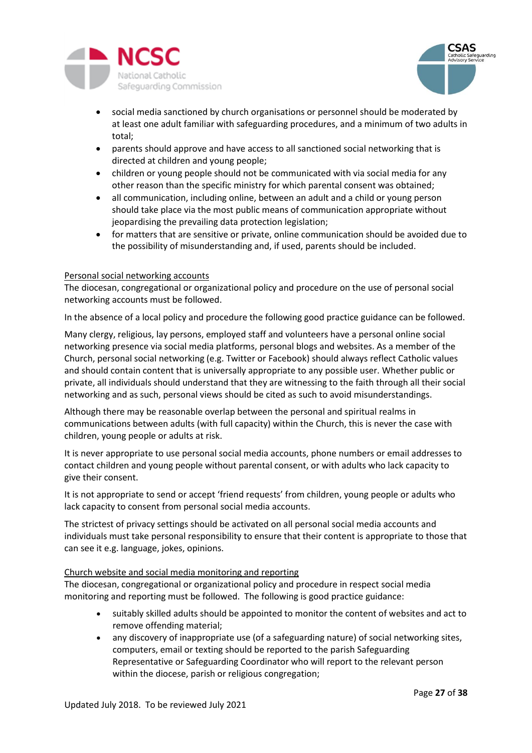



- social media sanctioned by church organisations or personnel should be moderated by at least one adult familiar with safeguarding procedures, and a minimum of two adults in total;
- parents should approve and have access to all sanctioned social networking that is directed at children and young people;
- children or young people should not be communicated with via social media for any other reason than the specific ministry for which parental consent was obtained;
- all communication, including online, between an adult and a child or young person should take place via the most public means of communication appropriate without jeopardising the prevailing data protection legislation;
- for matters that are sensitive or private, online communication should be avoided due to the possibility of misunderstanding and, if used, parents should be included.

#### <span id="page-26-0"></span>Personal social networking accounts

The diocesan, congregational or organizational policy and procedure on the use of personal social networking accounts must be followed.

In the absence of a local policy and procedure the following good practice guidance can be followed.

Many clergy, religious, lay persons, employed staff and volunteers have a personal online social networking presence via social media platforms, personal blogs and websites. As a member of the Church, personal social networking (e.g. Twitter or Facebook) should always reflect Catholic values and should contain content that is universally appropriate to any possible user. Whether public or private, all individuals should understand that they are witnessing to the faith through all their social networking and as such, personal views should be cited as such to avoid misunderstandings.

Although there may be reasonable overlap between the personal and spiritual realms in communications between adults (with full capacity) within the Church, this is never the case with children, young people or adults at risk.

It is never appropriate to use personal social media accounts, phone numbers or email addresses to contact children and young people without parental consent, or with adults who lack capacity to give their consent.

It is not appropriate to send or accept 'friend requests' from children, young people or adults who lack capacity to consent from personal social media accounts.

The strictest of privacy settings should be activated on all personal social media accounts and individuals must take personal responsibility to ensure that their content is appropriate to those that can see it e.g. language, jokes, opinions.

### <span id="page-26-1"></span>Church website and social media monitoring and reporting

The diocesan, congregational or organizational policy and procedure in respect social media monitoring and reporting must be followed. The following is good practice guidance:

- suitably skilled adults should be appointed to monitor the content of websites and act to remove offending material;
- any discovery of inappropriate use (of a safeguarding nature) of social networking sites, computers, email or texting should be reported to the parish Safeguarding Representative or Safeguarding Coordinator who will report to the relevant person within the diocese, parish or religious congregation;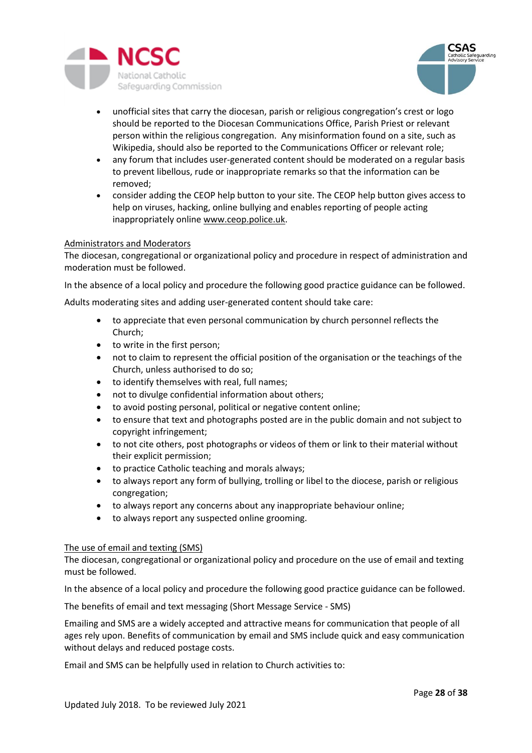



- unofficial sites that carry the diocesan, parish or religious congregation's crest or logo should be reported to the Diocesan Communications Office, Parish Priest or relevant person within the religious congregation. Any misinformation found on a site, such as Wikipedia, should also be reported to the Communications Officer or relevant role;
- any forum that includes user-generated content should be moderated on a regular basis to prevent libellous, rude or inappropriate remarks so that the information can be removed;
- consider adding the CEOP help button to your site. The CEOP help button gives access to help on viruses, hacking, online bullying and enables reporting of people acting inappropriately onlin[e www.ceop.police.uk.](http://www.ceop.police.uk/)

### <span id="page-27-0"></span>Administrators and Moderators

The diocesan, congregational or organizational policy and procedure in respect of administration and moderation must be followed.

In the absence of a local policy and procedure the following good practice guidance can be followed.

Adults moderating sites and adding user-generated content should take care:

- to appreciate that even personal communication by church personnel reflects the Church;
- to write in the first person;
- not to claim to represent the official position of the organisation or the teachings of the Church, unless authorised to do so;
- to identify themselves with real, full names;
- not to divulge confidential information about others;
- to avoid posting personal, political or negative content online;
- to ensure that text and photographs posted are in the public domain and not subject to copyright infringement;
- to not cite others, post photographs or videos of them or link to their material without their explicit permission;
- to practice Catholic teaching and morals always;
- to always report any form of bullying, trolling or libel to the diocese, parish or religious congregation;
- to always report any concerns about any inappropriate behaviour online;
- to always report any suspected online grooming.

### <span id="page-27-1"></span>The use of email and texting (SMS)

The diocesan, congregational or organizational policy and procedure on the use of email and texting must be followed.

In the absence of a local policy and procedure the following good practice guidance can be followed.

<span id="page-27-2"></span>The benefits of email and text messaging (Short Message Service - SMS)

Emailing and SMS are a widely accepted and attractive means for communication that people of all ages rely upon. Benefits of communication by email and SMS include quick and easy communication without delays and reduced postage costs.

Email and SMS can be helpfully used in relation to Church activities to: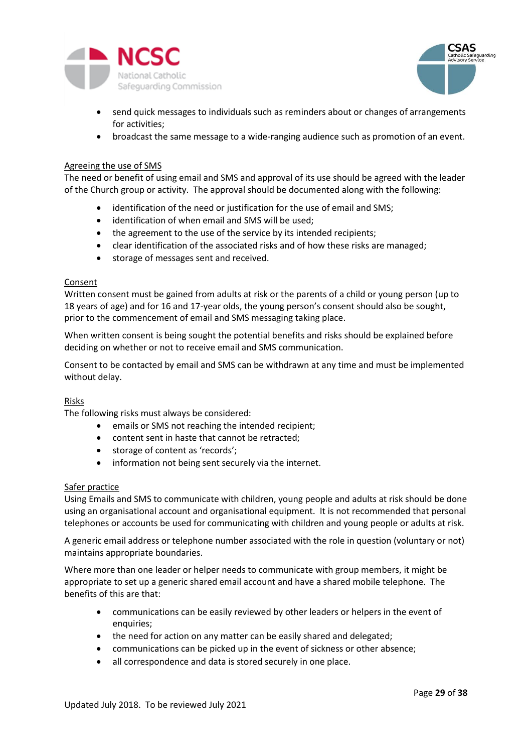



- send quick messages to individuals such as reminders about or changes of arrangements for activities;
- broadcast the same message to a wide-ranging audience such as promotion of an event.

#### <span id="page-28-0"></span>Agreeing the use of SMS

The need or benefit of using email and SMS and approval of its use should be agreed with the leader of the Church group or activity. The approval should be documented along with the following:

- identification of the need or justification for the use of email and SMS;
- identification of when email and SMS will be used;
- the agreement to the use of the service by its intended recipients;
- clear identification of the associated risks and of how these risks are managed;
- storage of messages sent and received.

#### <span id="page-28-1"></span>Consent

Written consent must be gained from adults at risk or the parents of a child or young person (up to 18 years of age) and for 16 and 17-year olds, the young person's consent should also be sought, prior to the commencement of email and SMS messaging taking place.

When written consent is being sought the potential benefits and risks should be explained before deciding on whether or not to receive email and SMS communication.

Consent to be contacted by email and SMS can be withdrawn at any time and must be implemented without delay.

### <span id="page-28-2"></span>Risks

The following risks must always be considered:

- emails or SMS not reaching the intended recipient;
- content sent in haste that cannot be retracted;
- storage of content as 'records';
- information not being sent securely via the internet.

#### <span id="page-28-3"></span>Safer practice

Using Emails and SMS to communicate with children, young people and adults at risk should be done using an organisational account and organisational equipment. It is not recommended that personal telephones or accounts be used for communicating with children and young people or adults at risk.

A generic email address or telephone number associated with the role in question (voluntary or not) maintains appropriate boundaries.

Where more than one leader or helper needs to communicate with group members, it might be appropriate to set up a generic shared email account and have a shared mobile telephone. The benefits of this are that:

- communications can be easily reviewed by other leaders or helpers in the event of enquiries;
- the need for action on any matter can be easily shared and delegated;
- communications can be picked up in the event of sickness or other absence;
- all correspondence and data is stored securely in one place.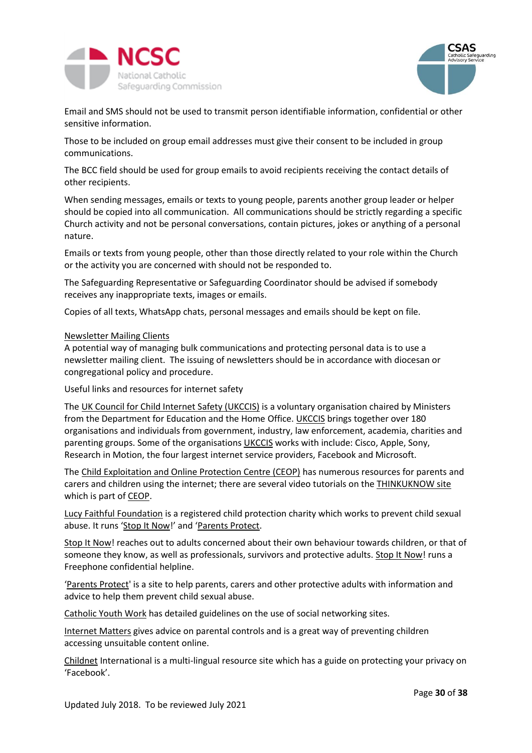



Email and SMS should not be used to transmit person identifiable information, confidential or other sensitive information.

Those to be included on group email addresses must give their consent to be included in group communications.

The BCC field should be used for group emails to avoid recipients receiving the contact details of other recipients.

When sending messages, emails or texts to young people, parents another group leader or helper should be copied into all communication. All communications should be strictly regarding a specific Church activity and not be personal conversations, contain pictures, jokes or anything of a personal nature.

Emails or texts from young people, other than those directly related to your role within the Church or the activity you are concerned with should not be responded to.

The Safeguarding Representative or Safeguarding Coordinator should be advised if somebody receives any inappropriate texts, images or emails.

Copies of all texts, WhatsApp chats, personal messages and emails should be kept on file.

#### <span id="page-29-0"></span>Newsletter Mailing Clients

A potential way of managing bulk communications and protecting personal data is to use a newsletter mailing client. The issuing of newsletters should be in accordance with diocesan or congregational policy and procedure.

<span id="page-29-1"></span>Useful links and resources for internet safety

The [UK Council for Child Internet Safety \(UKCCIS\)](https://www.gov.uk/government/groups/uk-council-for-child-internet-safety-ukccis) is a voluntary organisation chaired by Ministers from the Department for Education and the Home Office[. UKCCIS](https://www.gov.uk/government/groups/uk-council-for-child-internet-safety-ukccis) brings together over 180 organisations and individuals from government, industry, law enforcement, academia, charities and parenting groups. Some of the organisations [UKCCIS](https://www.gov.uk/government/groups/uk-council-for-child-internet-safety-ukccis) works with include: Cisco, Apple, Sony, Research in Motion, the four largest internet service providers, Facebook and Microsoft.

The [Child Exploitation and Online Protection Centre \(CEOP\)](http://www.ceop.police.uk/) has numerous resources for parents and carers and children using the internet; there are several video tutorials on th[e THINKUKNOW site](http://www.thinkuknow.co.uk/) which is part of [CEOP.](http://www.ceop.police.uk/)

[Lucy Faithful Foundation](http://www.lucyfaithfull.org.uk/) is a registered child protection charity which works to prevent child sexual abuse. It runs '[Stop It Now](http://www.stopitnow.org.uk/)!' and '[Parents Protect.](http://www.parentsprotect.co.uk/)

[Stop It Now!](http://www.stopitnow.org.uk/) reaches out to adults concerned about their own behaviour towards children, or that of someone they know, as well as professionals, survivors and protective adults. [Stop It Now!](http://www.stopitnow.org.uk/) runs a Freephone confidential helpline.

'[Parents Protect'](http://www.parentsprotect.co.uk/) is a site to help parents, carers and other protective adults with information and advice to help them prevent child sexual abuse.

[Catholic Youth Work](http://www.catholicyouthwork.com/) has detailed guidelines on the use of social networking sites.

[Internet Matters](http://www.internetmatters.org/) gives advice on parental controls and is a great way of preventing children accessing unsuitable content online.

[Childnet](http://www.childnet.com/) International is a multi-lingual resource site which has a guide on protecting your privacy on 'Facebook'.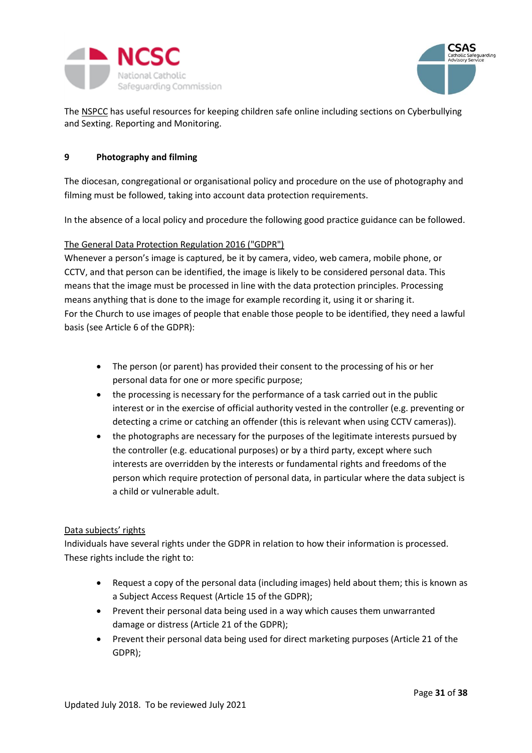

<span id="page-30-1"></span>

The [NSPCC](http://www.nspcc.org.uk/) has useful resources for keeping children safe online including sections on Cyberbullying and Sexting. Reporting and Monitoring.

### <span id="page-30-0"></span>**9 Photography and filming**

The diocesan, congregational or organisational policy and procedure on the use of photography and filming must be followed, taking into account data protection requirements.

In the absence of a local policy and procedure the following good practice guidance can be followed.

# The General Data Protection Regulation 2016 ("GDPR")

Whenever a person's image is captured, be it by camera, video, web camera, mobile phone, or CCTV, and that person can be identified, the image is likely to be considered personal data. This means that the image must be processed in line with the data protection principles. Processing means anything that is done to the image for example recording it, using it or sharing it. For the Church to use images of people that enable those people to be identified, they need a lawful basis (see Article 6 of the GDPR):

- The person (or parent) has provided their consent to the processing of his or her personal data for one or more specific purpose;
- the processing is necessary for the performance of a task carried out in the public interest or in the exercise of official authority vested in the controller (e.g. preventing or detecting a crime or catching an offender (this is relevant when using CCTV cameras)).
- the photographs are necessary for the purposes of the legitimate interests pursued by the controller (e.g. educational purposes) or by a third party, except where such interests are overridden by the interests or fundamental rights and freedoms of the person which require protection of personal data, in particular where the data subject is a child or vulnerable adult.

### <span id="page-30-2"></span>Data subjects' rights

Individuals have several rights under the GDPR in relation to how their information is processed. These rights include the right to:

- Request a copy of the personal data (including images) held about them; this is known as a Subject Access Request (Article 15 of the GDPR);
- Prevent their personal data being used in a way which causes them unwarranted damage or distress (Article 21 of the GDPR);
- Prevent their personal data being used for direct marketing purposes (Article 21 of the GDPR);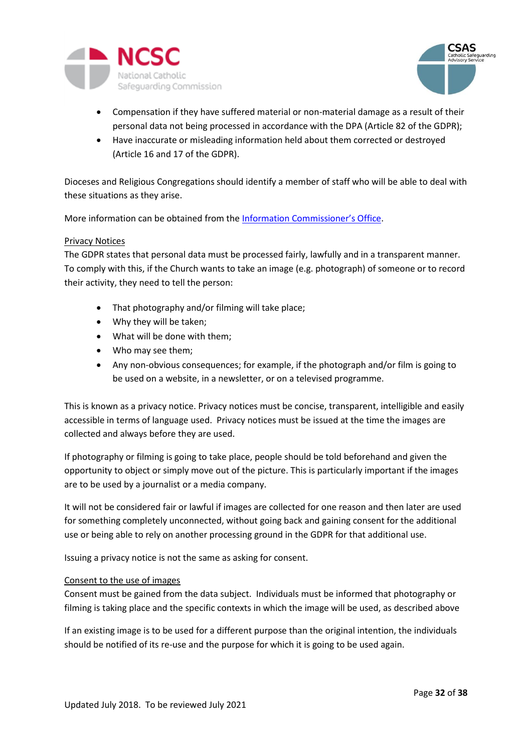



- Compensation if they have suffered material or non-material damage as a result of their personal data not being processed in accordance with the DPA (Article 82 of the GDPR);
- Have inaccurate or misleading information held about them corrected or destroyed (Article 16 and 17 of the GDPR).

Dioceses and Religious Congregations should identify a member of staff who will be able to deal with these situations as they arise.

More information can be obtained from the [Information Commissioner's Office](https://ico.org.uk/for-organisations/guide-to-the-general-data-protection-regulation-gdpr/individual-rights/).

### <span id="page-31-0"></span>Privacy Notices

The GDPR states that personal data must be processed fairly, lawfully and in a transparent manner. To comply with this, if the Church wants to take an image (e.g. photograph) of someone or to record their activity, they need to tell the person:

- That photography and/or filming will take place;
- Why they will be taken;
- What will be done with them;
- Who may see them;
- Any non-obvious consequences; for example, if the photograph and/or film is going to be used on a website, in a newsletter, or on a televised programme.

This is known as a privacy notice. Privacy notices must be concise, transparent, intelligible and easily accessible in terms of language used. Privacy notices must be issued at the time the images are collected and always before they are used.

If photography or filming is going to take place, people should be told beforehand and given the opportunity to object or simply move out of the picture. This is particularly important if the images are to be used by a journalist or a media company.

It will not be considered fair or lawful if images are collected for one reason and then later are used for something completely unconnected, without going back and gaining consent for the additional use or being able to rely on another processing ground in the GDPR for that additional use.

Issuing a privacy notice is not the same as asking for consent.

### <span id="page-31-1"></span>Consent to the use of images

Consent must be gained from the data subject. Individuals must be informed that photography or filming is taking place and the specific contexts in which the image will be used, as described above

If an existing image is to be used for a different purpose than the original intention, the individuals should be notified of its re-use and the purpose for which it is going to be used again.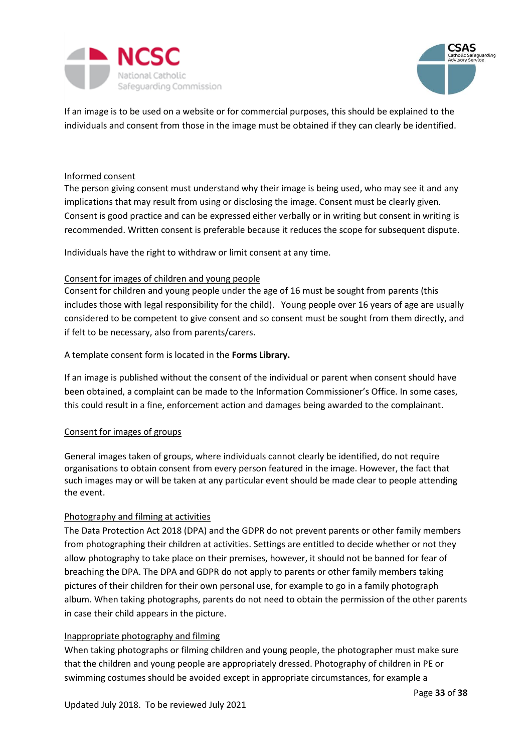



If an image is to be used on a website or for commercial purposes, this should be explained to the individuals and consent from those in the image must be obtained if they can clearly be identified.

### <span id="page-32-0"></span>Informed consent

The person giving consent must understand why their image is being used, who may see it and any implications that may result from using or disclosing the image. Consent must be clearly given. Consent is good practice and can be expressed either verbally or in writing but consent in writing is recommended. Written consent is preferable because it reduces the scope for subsequent dispute.

<span id="page-32-1"></span>Individuals have the right to withdraw or limit consent at any time.

#### Consent for images of children and young people

Consent for children and young people under the age of 16 must be sought from parents (this includes those with legal responsibility for the child). Young people over 16 years of age are usually considered to be competent to give consent and so consent must be sought from them directly, and if felt to be necessary, also from parents/carers.

### A template consent form is located in the **Forms Library.**

If an image is published without the consent of the individual or parent when consent should have been obtained, a complaint can be made to the Information Commissioner's Office. In some cases, this could result in a fine, enforcement action and damages being awarded to the complainant.

### <span id="page-32-2"></span>Consent for images of groups

General images taken of groups, where individuals cannot clearly be identified, do not require organisations to obtain consent from every person featured in the image. However, the fact that such images may or will be taken at any particular event should be made clear to people attending the event.

### <span id="page-32-3"></span>Photography and filming at activities

The Data Protection Act 2018 (DPA) and the GDPR do not prevent parents or other family members from photographing their children at activities. Settings are entitled to decide whether or not they allow photography to take place on their premises, however, it should not be banned for fear of breaching the DPA. The DPA and GDPR do not apply to parents or other family members taking pictures of their children for their own personal use, for example to go in a family photograph album. When taking photographs, parents do not need to obtain the permission of the other parents in case their child appears in the picture.

#### <span id="page-32-4"></span>Inappropriate photography and filming

When taking photographs or filming children and young people, the photographer must make sure that the children and young people are appropriately dressed. Photography of children in PE or swimming costumes should be avoided except in appropriate circumstances, for example a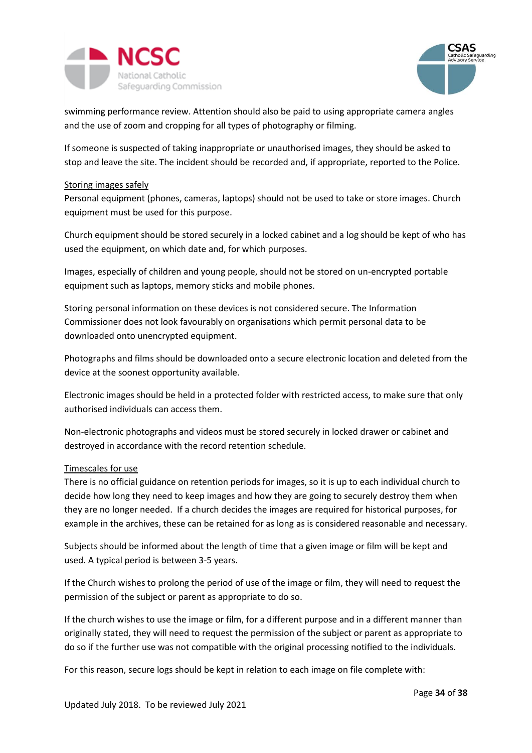



swimming performance review. Attention should also be paid to using appropriate camera angles and the use of zoom and cropping for all types of photography or filming.

If someone is suspected of taking inappropriate or unauthorised images, they should be asked to stop and leave the site. The incident should be recorded and, if appropriate, reported to the Police.

### <span id="page-33-0"></span>Storing images safely

Personal equipment (phones, cameras, laptops) should not be used to take or store images. Church equipment must be used for this purpose.

Church equipment should be stored securely in a locked cabinet and a log should be kept of who has used the equipment, on which date and, for which purposes.

Images, especially of children and young people, should not be stored on un-encrypted portable equipment such as laptops, memory sticks and mobile phones.

Storing personal information on these devices is not considered secure. The Information Commissioner does not look favourably on organisations which permit personal data to be downloaded onto unencrypted equipment.

Photographs and films should be downloaded onto a secure electronic location and deleted from the device at the soonest opportunity available.

Electronic images should be held in a protected folder with restricted access, to make sure that only authorised individuals can access them.

Non-electronic photographs and videos must be stored securely in locked drawer or cabinet and destroyed in accordance with the record retention schedule.

### <span id="page-33-1"></span>Timescales for use

There is no official guidance on retention periods for images, so it is up to each individual church to decide how long they need to keep images and how they are going to securely destroy them when they are no longer needed. If a church decides the images are required for historical purposes, for example in the archives, these can be retained for as long as is considered reasonable and necessary.

Subjects should be informed about the length of time that a given image or film will be kept and used. A typical period is between 3-5 years.

If the Church wishes to prolong the period of use of the image or film, they will need to request the permission of the subject or parent as appropriate to do so.

If the church wishes to use the image or film, for a different purpose and in a different manner than originally stated, they will need to request the permission of the subject or parent as appropriate to do so if the further use was not compatible with the original processing notified to the individuals.

For this reason, secure logs should be kept in relation to each image on file complete with: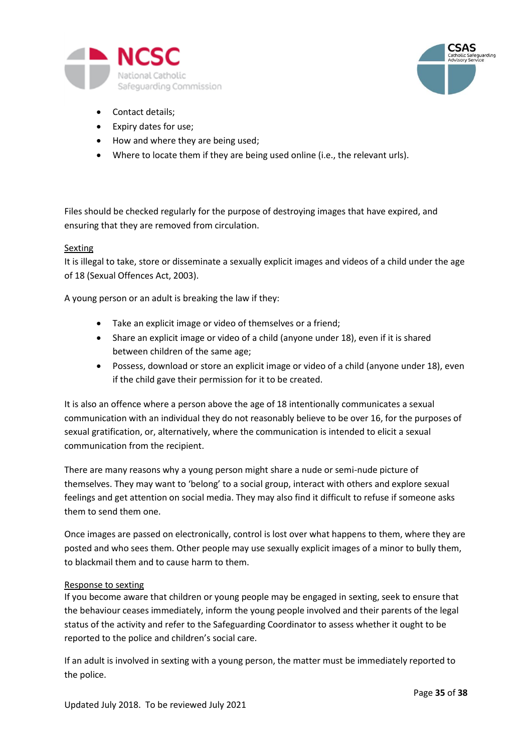



- Contact details;
- Expiry dates for use;
- How and where they are being used;
- Where to locate them if they are being used online (i.e., the relevant urls).

Files should be checked regularly for the purpose of destroying images that have expired, and ensuring that they are removed from circulation.

### <span id="page-34-0"></span>Sexting

It is illegal to take, store or disseminate a sexually explicit images and videos of a child under the age of 18 (Sexual Offences Act, 2003).

A young person or an adult is breaking the law if they:

- Take an explicit image or video of themselves or a friend;
- Share an explicit image or video of a child (anyone under 18), even if it is shared between children of the same age;
- Possess, download or store an explicit image or video of a child (anyone under 18), even if the child gave their permission for it to be created.

It is also an offence where a person above the age of 18 intentionally communicates a sexual communication with an individual they do not reasonably believe to be over 16, for the purposes of sexual gratification, or, alternatively, where the communication is intended to elicit a sexual communication from the recipient.

There are many reasons why a young person might share a nude or semi-nude picture of themselves. They may want to 'belong' to a social group, interact with others and explore sexual feelings and get attention on social media. They may also find it difficult to refuse if someone asks them to send them one.

Once images are passed on electronically, control is lost over what happens to them, where they are posted and who sees them. Other people may use sexually explicit images of a minor to bully them, to blackmail them and to cause harm to them.

### <span id="page-34-1"></span>Response to sexting

If you become aware that children or young people may be engaged in sexting, seek to ensure that the behaviour ceases immediately, inform the young people involved and their parents of the legal status of the activity and refer to the Safeguarding Coordinator to assess whether it ought to be reported to the police and children's social care.

If an adult is involved in sexting with a young person, the matter must be immediately reported to the police.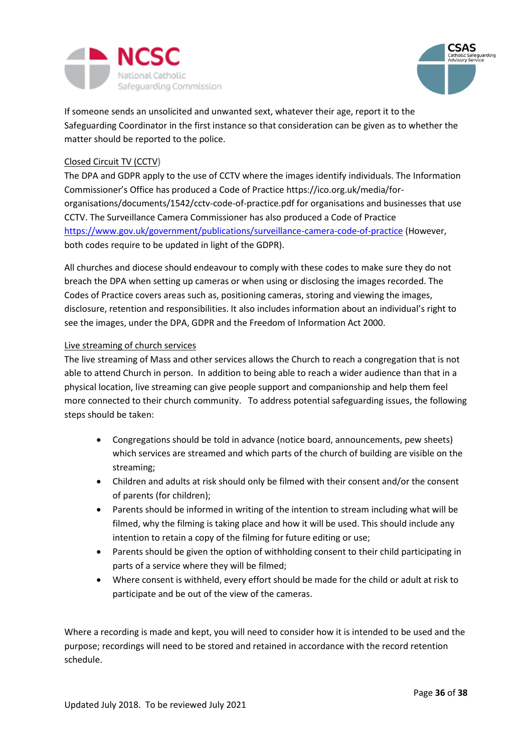



If someone sends an unsolicited and unwanted sext, whatever their age, report it to the Safeguarding Coordinator in the first instance so that consideration can be given as to whether the matter should be reported to the police.

### <span id="page-35-0"></span>Closed Circuit TV (CCTV**)**

The DPA and GDPR apply to the use of CCTV where the images identify individuals. The Information Commissioner's Office has produced a Code of Practice https://ico.org.uk/media/fororganisations/documents/1542/cctv-code-of-practice.pdf for organisations and businesses that use CCTV. The Surveillance Camera Commissioner has also produced a Code of Practice <https://www.gov.uk/government/publications/surveillance-camera-code-of-practice> (However, both codes require to be updated in light of the GDPR).

All churches and diocese should endeavour to comply with these codes to make sure they do not breach the DPA when setting up cameras or when using or disclosing the images recorded. The Codes of Practice covers areas such as, positioning cameras, storing and viewing the images, disclosure, retention and responsibilities. It also includes information about an individual's right to see the images, under the DPA, GDPR and the Freedom of Information Act 2000.

### <span id="page-35-1"></span>Live streaming of church services

The live streaming of Mass and other services allows the Church to reach a congregation that is not able to attend Church in person. In addition to being able to reach a wider audience than that in a physical location, live streaming can give people support and companionship and help them feel more connected to their church community. To address potential safeguarding issues, the following steps should be taken:

- Congregations should be told in advance (notice board, announcements, pew sheets) which services are streamed and which parts of the church of building are visible on the streaming;
- Children and adults at risk should only be filmed with their consent and/or the consent of parents (for children);
- Parents should be informed in writing of the intention to stream including what will be filmed, why the filming is taking place and how it will be used. This should include any intention to retain a copy of the filming for future editing or use;
- Parents should be given the option of withholding consent to their child participating in parts of a service where they will be filmed;
- Where consent is withheld, every effort should be made for the child or adult at risk to participate and be out of the view of the cameras.

Where a recording is made and kept, you will need to consider how it is intended to be used and the purpose; recordings will need to be stored and retained in accordance with the record retention schedule.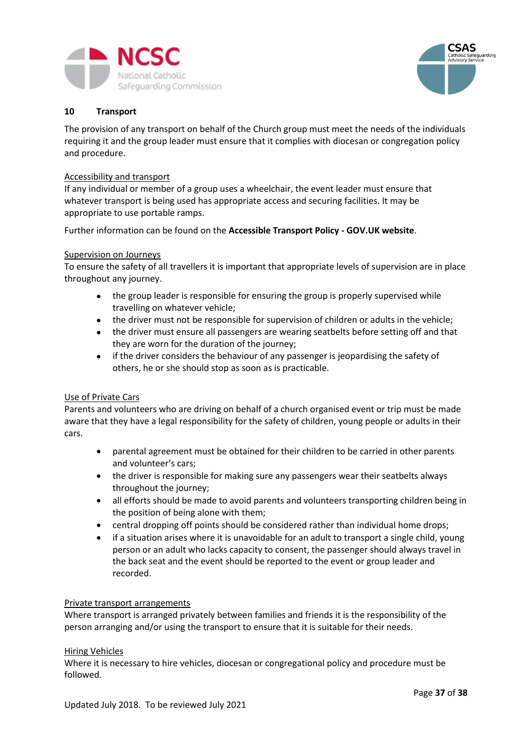



### <span id="page-36-0"></span>**10 Transport**

The provision of any transport on behalf of the Church group must meet the needs of the individuals requiring it and the group leader must ensure that it complies with diocesan or congregation policy and procedure.

#### <span id="page-36-1"></span>Accessibility and transport

If any individual or member of a group uses a wheelchair, the event leader must ensure that whatever transport is being used has appropriate access and securing facilities. It may be appropriate to use portable ramps.

Further information can be found on the **[Accessible Transport Policy -](https://www.gov.uk/government/policies/making-transport-more-accessible-to-all) GOV.UK website**.

#### Supervision on Journeys

To ensure the safety of all travellers it is important that appropriate levels of supervision are in place throughout any journey.

- the group leader is responsible for ensuring the group is properly supervised while travelling on whatever vehicle;
- the driver must not be responsible for supervision of children or adults in the vehicle;
- the driver must ensure all passengers are wearing seatbelts before setting off and that they are worn for the duration of the journey;
- if the driver considers the behaviour of any passenger is jeopardising the safety of others, he or she should stop as soon as is practicable.

### <span id="page-36-2"></span>Use of Private Cars

Parents and volunteers who are driving on behalf of a church organised event or trip must be made aware that they have a legal responsibility for the safety of children, young people or adults in their cars.

- parental agreement must be obtained for their children to be carried in other parents and volunteer's cars;
- the driver is responsible for making sure any passengers wear their seatbelts always throughout the journey;
- all efforts should be made to avoid parents and volunteers transporting children being in the position of being alone with them;
- central dropping off points should be considered rather than individual home drops;
- if a situation arises where it is unavoidable for an adult to transport a single child, young person or an adult who lacks capacity to consent, the passenger should always travel in the back seat and the event should be reported to the event or group leader and recorded.

#### <span id="page-36-3"></span>Private transport arrangements

Where transport is arranged privately between families and friends it is the responsibility of the person arranging and/or using the transport to ensure that it is suitable for their needs.

#### <span id="page-36-4"></span>Hiring Vehicles

Where it is necessary to hire vehicles, diocesan or congregational policy and procedure must be followed.